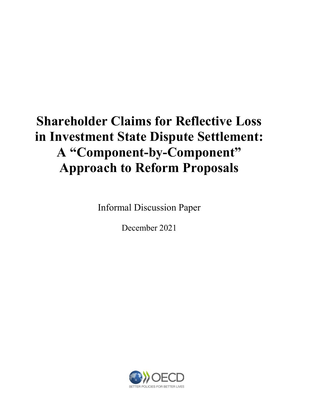# Shareholder Claims for Reflective Loss in Investment State Dispute Settlement: A "Component-by-Component" Approach to Reform Proposals

Informal Discussion Paper

December 2021

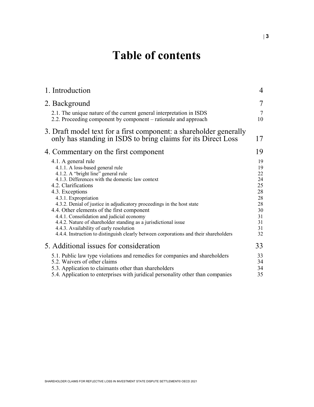## Table of contents

| 1. Introduction                                                                                                                                                                                                                                                                                                                                                                                                                                                                                                                                                                                  | 4                                                                          |
|--------------------------------------------------------------------------------------------------------------------------------------------------------------------------------------------------------------------------------------------------------------------------------------------------------------------------------------------------------------------------------------------------------------------------------------------------------------------------------------------------------------------------------------------------------------------------------------------------|----------------------------------------------------------------------------|
| 2. Background                                                                                                                                                                                                                                                                                                                                                                                                                                                                                                                                                                                    | 7                                                                          |
| 2.1. The unique nature of the current general interpretation in ISDS<br>2.2. Proceeding component by component – rationale and approach                                                                                                                                                                                                                                                                                                                                                                                                                                                          | 7<br>10                                                                    |
| 3. Draft model text for a first component: a shareholder generally<br>only has standing in ISDS to bring claims for its Direct Loss                                                                                                                                                                                                                                                                                                                                                                                                                                                              | 17                                                                         |
| 4. Commentary on the first component                                                                                                                                                                                                                                                                                                                                                                                                                                                                                                                                                             | 19                                                                         |
| 4.1. A general rule<br>4.1.1. A loss-based general rule<br>4.1.2. A "bright line" general rule<br>4.1.3. Differences with the domestic law context<br>4.2. Clarifications<br>4.3. Exceptions<br>4.3.1. Expropriation<br>4.3.2. Denial of justice in adjudicatory proceedings in the host state<br>4.4. Other elements of the first component<br>4.4.1. Consolidation and judicial economy<br>4.4.2. Nature of shareholder standing as a jurisdictional issue<br>4.4.3. Availability of early resolution<br>4.4.4. Instruction to distinguish clearly between corporations and their shareholders | 19<br>19<br>22<br>24<br>25<br>28<br>28<br>28<br>30<br>31<br>31<br>31<br>32 |
| 5. Additional issues for consideration                                                                                                                                                                                                                                                                                                                                                                                                                                                                                                                                                           | 33                                                                         |
| 5.1. Public law type violations and remedies for companies and shareholders<br>5.2. Waivers of other claims<br>5.3. Application to claimants other than shareholders<br>5.4. Application to enterprises with juridical personality other than companies                                                                                                                                                                                                                                                                                                                                          | 33<br>34<br>34<br>35                                                       |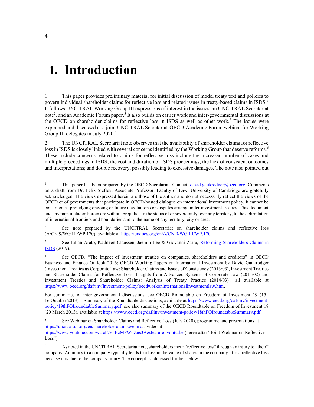### 1. Introduction

1. This paper provides preliminary material for initial discussion of model treaty text and policies to govern individual shareholder claims for reflective loss and related issues in treaty-based claims in ISDS.<sup>1</sup> It follows UNCITRAL Working Group III expressions of interest in the issues, an UNCITRAL Secretariat note<sup>2</sup>, and an Academic Forum paper.<sup>3</sup> It also builds on earlier work and inter-governmental discussions at the OECD on shareholder claims for reflective loss in ISDS as well as other work.<sup>4</sup> The issues were explained and discussed at a joint UNCITRAL Secretariat-OECD-Academic Forum webinar for Working Group III delegates in July 2020.<sup>5</sup>

2. The UNCITRAL Secretariat note observes that the availability of shareholder claims for reflective loss in ISDS is closely linked with several concerns identified by the Working Group that deserve reforms.<sup>6</sup> These include concerns related to claims for reflective loss include the increased number of cases and multiple proceedings in ISDS; the cost and duration of ISDS proceedings; the lack of consistent outcomes and interpretations; and double recovery, possibly leading to excessive damages. The note also pointed out

<sup>1</sup> This paper has been prepared by the OECD Secretariat. Contact: david.gaukrodger@oecd.org. Comments on a draft from Dr. Felix Steffek, Associate Professor, Faculty of Law, University of Cambridge are gratefully acknowledged. The views expressed herein are those of the author and do not necessarily reflect the views of the OECD or of governments that participate in OECD-hosted dialogue on international investment policy. It cannot be construed as prejudging ongoing or future negotiations or disputes arising under investment treaties. This document and any map included herein are without prejudice to the status of or sovereignty over any territory, to the delimitation of international frontiers and boundaries and to the name of any territory, city or area.

<sup>2</sup> See note prepared by the UNCITRAL Secretariat on shareholder claims and reflective loss (A/CN.9/WG.III/WP.170), available at https://undocs.org/en/A/CN.9/WG.III/WP.170.

<sup>3</sup> See Julian Arato, Kathleen Claussen, Jaemin Lee & Giovanni Zarra, Reforming Shareholders Claims in **ISDS** (2019).

<sup>4</sup> See OECD, "The impact of investment treaties on companies, shareholders and creditors" in OECD Business and Finance Outlook 2016; OECD Working Papers on International Investment by David Gaukrodger (Investment Treaties as Corporate Law: Shareholder Claims and Issues of Consistency (2013/03), Investment Treaties and Shareholder Claims for Reflective Loss: Insights from Advanced Systems of Corporate Law (2014/02) and Investment Treaties and Shareholder Claims: Analysis of Treaty Practice (2014/03)), all available at https://www.oecd.org/daf/inv/investment-policy/oecdworkoninternationalinvestmentlaw.htm.

For summaries of inter-governmental discussions, see OECD Roundtable on Freedom of Investment 19 (15– 16 October 2013) – Summary of the Roundtable discussions, available at https://www.oecd.org/daf/inv/investmentpolicy/19thFOIroundtableSummary.pdf; see also summary of the OECD Roundtable on Freedom of Investment 18 (20 March 2013), available at https://www.oecd.org/daf/inv/investment-policy/18thFOIroundtableSummary.pdf.

<sup>5</sup> See Webinar on Shareholder Claims and Reflective Loss (July 2020), programme and presentations at https://uncitral.un.org/en/shareholderclaimswebinar; video at

https://www.youtube.com/watch?v=EcMPWdZns3A&feature=youtu.be (hereinafter "Joint Webinar on Reflective Loss").

<sup>6</sup> As noted in the UNCITRAL Secretariat note, shareholders incur "reflective loss" through an injury to "their" company. An injury to a company typically leads to a loss in the value of shares in the company. It is a reflective loss because it is due to the company injury. The concept is addressed further below.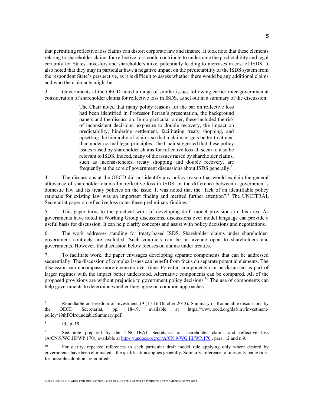that permitting reflective loss claims can distort corporate law and finance. It took note that these elements relating to shareholder claims for reflective loss could contribute to undermine the predictability and legal certainty for States, investors and shareholders alike, potentially leading to increases in cost of ISDS. It also noted that they may in particular have a negative impact on the predictability of the ISDS system from the respondent State's perspective, as it is difficult to assess whether there would be any additional claims and who the claimants might be.

3. Governments at the OECD noted a range of similar issues following earlier inter-governmental consideration of shareholder claims for reflective loss in ISDS, as set out in a summary of the discussion:

> The Chair noted that many policy reasons for the bar on reflective loss had been identified in Professor Ferran's presentation, the background papers and the discussion. In no particular order, these included the risk of inconsistent decisions, exposure to double recovery, the impact on predictability, hindering settlement, facilitating treaty shopping, and upsetting the hierarchy of claims so that a claimant gets better treatment than under normal legal principles. The Chair suggested that these policy issues raised by shareholder claims for reflective loss all seem to also be relevant to ISDS. Indeed, many of the issues raised by shareholder claims, such as inconsistencies, treaty shopping and double recovery, are frequently at the core of government discussions about ISDS generally.<sup>7</sup>

4. The discussions at the OECD did not identify any policy reason that would explain the general allowance of shareholder claims for reflective loss in ISDS, or the difference between a government's domestic law and its treaty policies on the issue. It was noted that the "lack of an identifiable policy rationale for existing law was an important finding and merited further attention".<sup>8</sup> The UNCITRAL Secretariat paper on reflective loss notes these preliminary findings.<sup>9</sup>

5. This paper turns to the practical work of developing draft model provisions in this area. As governments have noted in Working Group discussions, discussions over model language can provide a useful basis for discussion. It can help clarify concepts and assist with policy decisions and negotiations.

6. The work addresses standing for treaty-based ISDS. Shareholder claims under shareholdergovernment contracts are excluded. Such contracts can be an avenue open to shareholders and governments. However, the discussion below focuses on claims under treaties.

7. To facilitate work, the paper envisages developing separate components that can be addressed sequentially. The discussion of complex issues can benefit from focus on separate potential elements. The discussion can encompass more elements over time. Potential components can be discussed as part of larger regimes with the impact better understood. Alternative components can be compared. All of the proposed provisions are without prejudice to government policy decisions.<sup>10</sup> The use of components can help governments to determine whether they agree on common approaches.

<sup>7</sup> Roundtable on Freedom of Investment 19 (15-16 October 2013), Summary of Roundtable discussions by the OECD Secretariat, pp. 18-19, available at https://www.oecd.org/daf/inv/investmentpolicy/19thFOIroundtableSummary.pdf.

<sup>8</sup> Id., p. 19.

<sup>9</sup> See note prepared by the UNCITRAL Secretariat on shareholder claims and reflective loss (A/CN.9/WG.III/WP.170), available at https://undocs.org/en/A/CN.9/WG.III/WP.170., para. 12 and n.9.

<sup>&</sup>lt;sup>10</sup> For clarity, repeated references to each particular draft model rule applying only where desired by governments have been eliminated – the qualification applies generally. Similarly, reference to rules only being rules for possible adoption are omitted.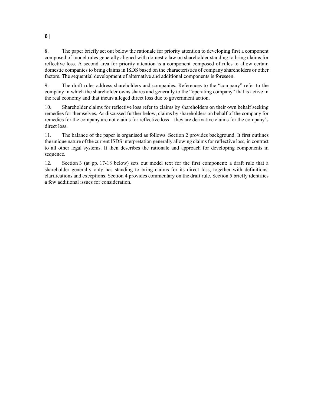8. The paper briefly set out below the rationale for priority attention to developing first a component composed of model rules generally aligned with domestic law on shareholder standing to bring claims for reflective loss. A second area for priority attention is a component composed of rules to allow certain domestic companies to bring claims in ISDS based on the characteristics of company shareholders or other factors. The sequential development of alternative and additional components is foreseen.

9. The draft rules address shareholders and companies. References to the "company" refer to the company in which the shareholder owns shares and generally to the "operating company" that is active in the real economy and that incurs alleged direct loss due to government action.

10. Shareholder claims for reflective loss refer to claims by shareholders on their own behalf seeking remedies for themselves. As discussed further below, claims by shareholders on behalf of the company for remedies for the company are not claims for reflective loss – they are derivative claims for the company's direct loss.

11. The balance of the paper is organised as follows. Section 2 provides background. It first outlines the unique nature of the current ISDS interpretation generally allowing claims for reflective loss, in contrast to all other legal systems. It then describes the rationale and approach for developing components in sequence.

12. Section 3 (at pp. 17-18 below) sets out model text for the first component: a draft rule that a shareholder generally only has standing to bring claims for its direct loss, together with definitions, clarifications and exceptions. Section 4 provides commentary on the draft rule. Section 5 briefly identifies a few additional issues for consideration.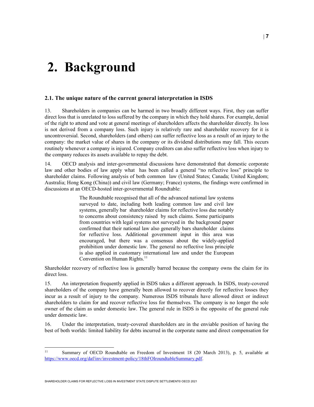## 2. Background

#### 2.1. The unique nature of the current general interpretation in ISDS

13. Shareholders in companies can be harmed in two broadly different ways. First, they can suffer direct loss that is unrelated to loss suffered by the company in which they hold shares. For example, denial of the right to attend and vote at general meetings of shareholders affects the shareholder directly. Its loss is not derived from a company loss. Such injury is relatively rare and shareholder recovery for it is uncontroversial. Second, shareholders (and others) can suffer reflective loss as a result of an injury to the company: the market value of shares in the company or its dividend distributions may fall. This occurs routinely whenever a company is injured. Company creditors can also suffer reflective loss when injury to the company reduces its assets available to repay the debt.

14. OECD analysis and inter-governmental discussions have demonstrated that domestic corporate law and other bodies of law apply what has been called a general "no reflective loss" principle to shareholder claims. Following analysis of both common law (United States; Canada; United Kingdom; Australia; Hong Kong (China)) and civil law (Germany; France) systems, the findings were confirmed in discussions at an OECD-hosted inter-governmental Roundtable:

> The Roundtable recognised that all of the advanced national law systems surveyed to date, including both leading common law and civil law systems, generally bar shareholder claims for reflective loss due notably to concerns about consistency raised by such claims. Some participants from countries with legal systems not surveyed in the background paper confirmed that their national law also generally bars shareholder claims for reflective loss. Additional government input in this area was encouraged, but there was a consensus about the widely-applied prohibition under domestic law. The general no reflective loss principle is also applied in customary international law and under the European Convention on Human Rights.<sup>11</sup>

Shareholder recovery of reflective loss is generally barred because the company owns the claim for its direct loss.

15. An interpretation frequently applied in ISDS takes a different approach. In ISDS, treaty-covered shareholders of the company have generally been allowed to recover directly for reflective losses they incur as a result of injury to the company. Numerous ISDS tribunals have allowed direct or indirect shareholders to claim for and recover reflective loss for themselves. The company is no longer the sole owner of the claim as under domestic law. The general rule in ISDS is the opposite of the general rule under domestic law.

16. Under the interpretation, treaty-covered shareholders are in the enviable position of having the best of both worlds: limited liability for debts incurred in the corporate name and direct compensation for

 $11$ <sup>11</sup> Summary of OECD Roundtable on Freedom of Investment 18 (20 March 2013), p. 5, available at https://www.oecd.org/daf/inv/investment-policy/18thFOIroundtableSummary.pdf.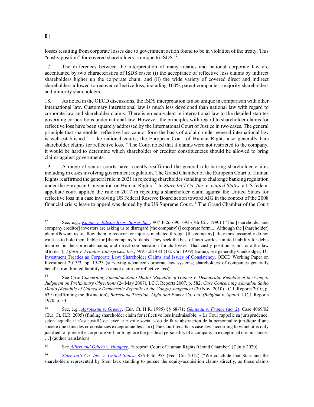losses resulting from corporate losses due to government action found to be in violation of the treaty. This "cushy position" for covered shareholders is unique to ISDS.<sup>12</sup>

17. The differences between the interpretation of many treaties and national corporate law are accentuated by two characteristics of ISDS cases: (i) the acceptance of reflective loss claims by indirect shareholders higher up the corporate chain; and (ii) the wide variety of covered direct and indirect shareholders allowed to recover reflective loss, including 100% parent companies, majority shareholders and minority shareholders.

18. As noted in the OECD discussions, the ISDS interpretation is also unique in comparison with other international law. Customary international law is much less developed than national law with regard to corporate law and shareholder claims. There is no equivalent in international law to the detailed statutes governing corporations under national law. However, the principles with regard to shareholder claims for reflective loss have been squarely addressed by the International Court of Justice in two cases. The general principle that shareholder reflective loss cannot form the basis of a claim under general international law is well-established.<sup>13</sup> Like national courts, the European Court of Human Rights also generally bars shareholder claims for reflective loss.<sup>14</sup> The Court noted that if claims were not restricted to the company, it would be hard to determine which shareholder or creditor constituencies should be allowed to bring claims against governments.

19. A range of senior courts have recently reaffirmed the general rule barring shareholder claims including in cases involving government regulation. The Grand Chamber of the European Court of Human Rights reaffirmed the general rule in 2021 in rejecting shareholder standing to challenge banking regulation under the European Convention on Human Rights.<sup>15</sup> In Starr Int'l Co. Inc. v. United States, a US federal appellate court applied the rule in 2017 in rejecting a shareholder claim against the United States for reflective loss in a case involving US Federal Reserve Board action toward AIG in the context of the 2008 financial crisis; leave to appeal was denied by the US Supreme Court.<sup>16</sup> The Grand Chamber of the Court

<sup>15</sup> See *Albert and Others v. Hungary*, European Court of Human Rights (Grand Chamber) (7 July 2020).

 $12\,$ See, e.g., Kagan v. Edison Bros. Stores Inc., 907 F.2d 690, 693 (7th Cir. 1990) ("The [shareholder and company creditor] investors are asking us to disregard [the company's] corporate form.... Although the [shareholder] plaintiffs want us to allow them to recover for injuries mediated through [the company], they most assuredly do not want us to hold them liable for [the company's] debts. They seek the best of both worlds: limited liability for debts incurred in the corporate name, and direct compensation for its losses. That cushy position is not one the law affords."); Alford v. Frontier Enterprises, Inc., 599 F.2d 483 (1st. Cir. 1979) (same); see generally Gaukrodger, D., Investment Treaties as Corporate Law: Shareholder Claims and Issues of Consistency, OECD Working Paper on Investment 2013/3, pp. 15-23 (surveying advanced corporate law systems; shareholders of companies generally benefit from limited liability but cannot claim for reflective loss).

<sup>&</sup>lt;sup>13</sup> See Case Concerning Ahmadou Sadio Diallo (Republic of Guinea v. Democratic Republic of the Congo) Judgment on Preliminary Objections (24 May 2007), I.C.J. Reports 2007, p. 582; Case Concerning Ahmadou Sadio Diallo (Republic of Guinea v Democratic Republic of the Congo) Judgement (30 Nov. 2010) I.C.J. Reports 2010, p. 639 (reaffirming the distinction); Barcelona Traction, Light and Power Co. Ltd. (Belgium v. Spain), I.C.J. Reports 1970, p. 34.

<sup>14</sup> See, e.g., Agrotexim v. Greece, (Eur. Ct. H.R. 1995) §§ 68-71; Géniteau v. France (no. 2), Case 4069/02 (Eur. Ct. H.R. 2005) (finding shareholder claim for reflective loss inadmissible; « La Cour rappelle sa jurisprudence, selon laquelle il n'est justifié de lever le « voile social » ou de faire abstraction de la personnalité juridique d'une société que dans des circonstances exceptionnelles ... ») [The Court recalls its case law, according to which it is only justified to 'pierce the corporate veil' or to ignore the juridical personality of a company in exceptional circumstances …] (author translation)

<sup>16</sup> Starr Int'l Co. Inc. v. United States, 856 F.3d 953 (Fed. Cir. 2017) ("We conclude that Starr and the shareholders represented by Starr lack standing to pursue the equity-acquisition claims directly, as those claims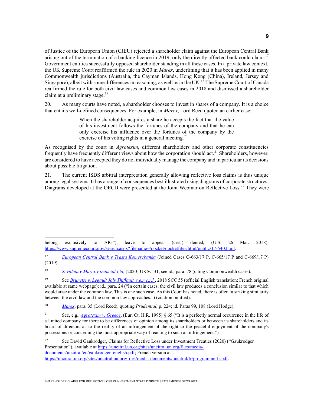of Justice of the European Union (CJEU) rejected a shareholder claim against the European Central Bank arising out of the termination of a banking licence in 2019; only the directly affected bank could claim.<sup>17</sup> Government entities successfully opposed shareholder standing in all these cases. In a private law context, the UK Supreme Court reaffirmed the rule in 2020 in *Marex*, underlining that it has been applied in many Commonwealth jurisdictions (Australia, the Cayman Islands, Hong Kong (China), Ireland, Jersey and Singapore), albeit with some differences in reasoning, as well as in the UK.<sup>18</sup> The Supreme Court of Canada reaffirmed the rule for both civil law cases and common law cases in 2018 and dismissed a shareholder claim at a preliminary stage.<sup>19</sup>

20. As many courts have noted, a shareholder chooses to invest in shares of a company. It is a choice that entails well-defined consequences. For example, in Marex, Lord Reed quoted an earlier case:

> When the shareholder acquires a share he accepts the fact that the value of his investment follows the fortunes of the company and that he can only exercise his influence over the fortunes of the company by the exercise of his voting rights in a general meeting.<sup>20</sup>

As recognised by the court in *Agrotexim*, different shareholders and other corporate constituencies frequently have frequently different views about how the corporation should act.<sup>21</sup> Shareholders, however, are considered to have accepted they do not individually manage the company and in particular its decisions about possible litigation.

21. The current ISDS arbitral interpretation generally allowing reflective loss claims is thus unique among legal systems. It has a range of consequences best illustrated using diagrams of corporate structures. Diagrams developed at the OECD were presented at the Joint Webinar on Reflective Loss.<sup>22</sup> They were

18 Sevilleja v Marex Financial Ltd, [2020] UKSC 31; see id., para. 78 (citing Commonwealth cases).

20 Marex, para. 35 (Lord Reed), quoting Prudential, p. 224; id. Paras 99, 108 (Lord Hodge).

<sup>22</sup> See David Gaukrodger, Claims for Reflective Loss under Investment Treaties (2020) ("Gaukrodger Presentation"), available at https://uncitral.un.org/sites/uncitral.un.org/files/mediadocuments/uncitral/en/gaukrodger\_english.pdf; French version at https://uncitral.un.org/sites/uncitral.un.org/files/media-documents/uncitral/fr/programme-fr.pdf.

belong exclusively to AIG"), leave to appeal (cert.) denied, (U.S. 26 Mar. 2018), https://www.supremecourt.gov/search.aspx?filename=/docket/docketfiles/html/public/17-540.html.

<sup>17</sup> European Central Bank v Trasta Komercbanka (Joined Cases C-663/17 P, C-665/17 P and C-669/17 P) (2019).

<sup>&</sup>lt;sup>19</sup> See *Brunette v. Legault Joly Thiffault, s.e.n.c.r.l.*, 2018 SCC 55 (official English translation; French original available at same webpage); id., para. 24 ("In certain cases, the civil law produces a conclusion similar to that which would arise under the common law. This is one such case. As this Court has noted, there is often 'a striking similarity between the civil law and the common law approaches.") (citation omitted).

<sup>&</sup>lt;sup>21</sup> See, e.g., *Agrotexim v. Greece*, (Eur. Ct. H.R. 1995) § 65 ("It is a perfectly normal occurrence in the life of a limited company for there to be differences of opinion among its shareholders or between its shareholders and its board of directors as to the reality of an infringement of the right to the peaceful enjoyment of the company's possessions or concerning the most appropriate way of reacting to such an infringement.")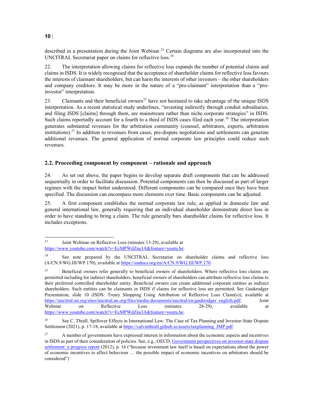described in a presentation during the Joint Webinar.<sup>23</sup> Certain diagrams are also incorporated into the UNCITRAL Secretariat paper on claims for reflective loss.<sup>24</sup>

22. The interpretation allowing claims for reflective loss expands the number of potential claims and claims in ISDS. It is widely recognised that the acceptance of shareholder claims for reflective loss favours the interests of claimant shareholders, but can harm the interests of other investors – the other shareholders and company creditors. It may be more in the nature of a "pro-claimant" interpretation than a "proinvestor" interpretation.

23. Claimants and their beneficial owners<sup>25</sup> have not hesitated to take advantage of the unique ISDS interpretation. As a recent statistical study underlines, "investing indirectly through conduit subsidiaries, and filing ISDS [claims] through them, are mainstream rather than niche corporate strategies" in ISDS. Such claims reportedly account for a fourth to a third of ISDS cases filed each year.<sup>26</sup> The interpretation generates substantial revenues for the arbitration community (counsel, arbitrators, experts, arbitration institutions).<sup>27</sup> In addition to revenues from cases, pre-dispute negotiations and settlements can generate additional revenues. The general application of normal corporate law principles could reduce such revenues.

#### 2.2. Proceeding component by component – rationale and approach

24. As set out above, the paper begins to develop separate draft components that can be addressed sequentially in order to facilitate discussion. Potential components can then be discussed as part of larger regimes with the impact better understood. Different components can be compared once they have been specified. The discussion can encompass more elements over time. Basic components can be adjusted.

25. A first component establishes the normal corporate law rule, as applied in domestic law and general international law, generally requiring that an individual shareholder demonstrate direct loss in order to have standing to bring a claim. The rule generally bars shareholder claims for reflective loss. It includes exceptions.

<sup>23</sup> Joint Webinar on Reflective Loss (minutes 13-29), available at https://www.youtube.com/watch?v=EcMPWdZns3A&feature=youtu.be.

<sup>&</sup>lt;sup>24</sup> See note prepared by the UNCITRAL Secretariat on shareholder claims and reflective loss (A/CN.9/WG.III/WP.170), available at https://undocs.org/en/A/CN.9/WG.III/WP.170.

<sup>&</sup>lt;sup>25</sup> Beneficial owners refer generally to beneficial owners of shareholders. Where reflective loss claims are permitted including for indirect shareholders, beneficial owners of shareholders can attribute reflective loss claims to their preferred controlled shareholder entity. Beneficial owners can create additional corporate entities as indirect shareholders. Such entities can be claimants in ISDS if claims for reflective loss are permitted. See Gaukrodger Presentation, slide 10 (ISDS: Treaty Shopping Using Attribution of Reflective Loss Claim(s)), available at https://uncitral.un.org/sites/uncitral.un.org/files/media-documents/uncitral/en/gaukrodger\_english.pdf; Joint Webinar on Reflective Loss (minutes 28-29), available at https://www.youtube.com/watch?v=EcMPWdZns3A&feature=youtu.be.

<sup>&</sup>lt;sup>26</sup> See C. Thrall, Spillover Effects in International Law: The Case of Tax Planning and Investor-State Dispute Settlement (2021), p. 17-18, available at https://calvinthrall.github.io/assets/taxplanning\_JMP.pdf.

<sup>&</sup>lt;sup>27</sup> A number of governments have expressed interest in information about the economic aspects and incentives in ISDS as part of their consideration of policies. See, e.g., OECD, Government perspectives on investor-state dispute settlement: a progress report (2012), p. 16 ("because investment law itself is based on expectations about the power of economic incentives to affect behaviour … the possible impact of economic incentives on arbitrators should be considered")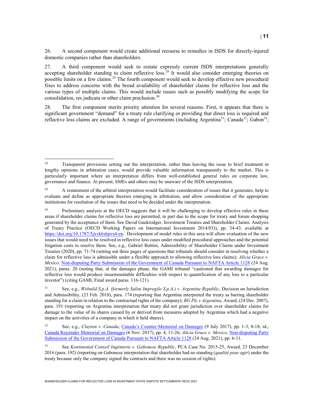26. A second component would create additional recourse to remedies in ISDS for directly-injured domestic companies rather than shareholders.

27. A third component would seek to restate expressly current ISDS interpretations generally accepting shareholder standing to claim reflective loss.<sup>28</sup> It would also consider emerging theories on possible limits on a few claims.<sup>29</sup> The fourth component would seek to develop effective new procedural fixes to address concerns with the broad availability of shareholder claims for reflective loss and the various types of multiple claims. This would include issues such as possibly modifying the scope for consolidation, res judicata or other claim preclusion.<sup>30</sup>

28. The first component merits priority attention for several reasons. First, it appears that there is significant government "demand" for a treaty rule clarifying or providing that direct loss is required and reflective loss claims are excluded. A range of governments (including Argentina<sup>31</sup>; Canada<sup>32</sup>; Gabon<sup>33</sup>;

<sup>&</sup>lt;sup>28</sup> Transparent provisions setting out the interpretation, rather than leaving the issue to brief treatment in lengthy opinions in arbitration cases, would provide valuable information transparently to the market. This is particularly important where an interpretation differs from well-established general rules on corporate law, governance and finance. At present, SMEs and others may be unaware of the ISDS interpretation.

<sup>&</sup>lt;sup>29</sup> A restatement of the arbitral interpretation would facilitate consideration of issues that it generates, help to evaluate and define as appropriate theories emerging in arbitration, and allow consideration of the appropriate institutions for resolution of the issues that need to be decided under the interpretation.

<sup>&</sup>lt;sup>30</sup> Preliminary analysis at the OECD suggests that it will be challenging to develop effective rules in these areas if shareholder claims for reflective loss are permitted, in part due to the scope for treaty and forum shopping generated by the acceptance of them. See David Gaukrodger, Investment Treaties and Shareholder Claims: Analysis of Treaty Practice (OECD Working Papers on International Investment 2014/03)), pp. 34-43, available at https://doi.org/10.1787/5jxvk6shpvs4-en. Development of model rules in this area will allow evaluation of the new issues that would need to be resolved in reflective loss cases under modified procedural approaches and the potential litigation costs to resolve them. See, e.g., Gabriel Bottini, Admissibility of Shareholder Claims under Investment Treaties (2020), pp. 71-74 (setting out three pages of questions that tribunals should consider in resolving whether a claim for reflective loss is admissible under a flexible approach to allowing reflective loss claims); Alicia Grace v. Mexico, Non-disputing Party Submission of the Government of Canada Pursuant to NAFTA Article 1128 (24 Aug. 2021), paras. 20 (noting that, at the damages phase, the GAMI tribunal "cautioned that awarding damages for reflective loss would produce insurmountable difficulties with respect to quantification of any loss to a particular investor") (citing GAMI, Final award paras. 116-121).

<sup>&</sup>lt;sup>31</sup> See, e.g., Webuild S.p.A. (formerly Salini Impregilo S.p.A.) v. Argentine Republic, Decision on Jurisdiction and Admissibility, (23 Feb. 2018), para. 174 (reporting that Argentina interpreted the treaty as barring shareholder standing for a claim in relation to the contractual rights of the company); BG Plc v Argentina, Award, (24 Dec. 2007), para. 191 (reporting on Argentina interpretation that treaty did not grant jurisdiction over shareholder claims for damage to the value of its shares caused by or derived from measures adopted by Argentina which had a negative impact on the activities of a company in which it held shares).

<sup>32</sup> See, e.g., Clayton v. Canada, Canada's Counter-Memorial on Damages (9 July 2017), pp. 1-3, 8-18; id., Canada Rejoinder Memorial on Damages (6 Nov. 2017), pp. 4, 11-26; Alicia Grace v. Mexico, Non-disputing Party Submission of the Government of Canada Pursuant to NAFTA Article 1128 (24 Aug. 2021), pp. 6-11.

<sup>33</sup> See Kontinental Conseil Ingénierie v. Gabonese Republic, PCA Case No. 2015-25, Award, 23 December 2016 (para. 192) (reporting on Gabonese interpretation that shareholder had no standing (qualité pour agir) under the treaty because only the company signed the contracts and there was no cession of rights).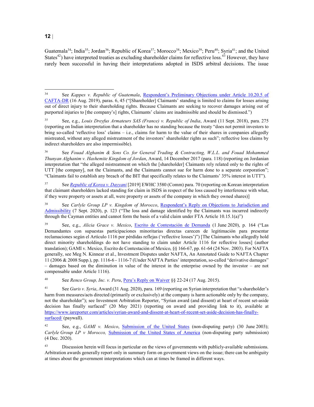Guatemala<sup>34</sup>; India<sup>35</sup>; Jordan<sup>36</sup>; Republic of Korea<sup>37</sup>; Morocco<sup>38</sup>; Mexico<sup>39</sup>; Peru<sup>40</sup>; Syria<sup>41</sup>; and the United States $42$ ) have interpreted treaties as excluding shareholder claims for reflective loss.<sup>43</sup> However, they have rarely been successful in having their interpretations adopted in ISDS arbitral decisions. The issue

<sup>36</sup> See Fouad Alghanim & Sons Co. for General Trading & Contracting, W.L.L. and Fouad Mohammed Thunyan Alghanim v. Hashemite Kingdom of Jordan, Award, 14 December 2017 (para. 118) (reporting on Jordanian interpretation that "the alleged mistreatment on which the [shareholder] Claimants rely related only to the rights of UTT [the company], not the Claimants, and the Claimants cannot sue for harm done to a separate corporation"; "Claimants fail to establish any breach of the BIT that specifically relates to the Claimants' 35% interest in UTT").

<sup>37</sup> See Republic of Korea v. Dayyani [2019] EWHC 3580 (Comm) para. 70 (reporting on Korean interpretation that claimant shareholders lacked standing for claim in ISDS in respect of the loss caused by interference with what, if they were property or assets at all, were property or assets of the company in which they owned shares)]

See Carlyle Group LP v. Kingdom of Morocco, Respondent's Reply on Objections to Jurisdiction and Admissibility (7 Sept. 2020), p. 123 ("The loss and damage identified by the Claimants was incurred indirectly through the Cayman entities and cannot form the basis of a valid claim under FTA Article 10.15.1(a)")

See, e.g., Alicia Grace v. Mexico, Escrito de Contestación de Demanda (1 June 2020), p. 164 ("Las Demandantes con supuestas participaciones minoritarias directas carecen de legitimación para presentar reclamaciones según el Artículo 1116 por pérdidas reflejas ('reflective losses')") [The Claimants who allegedly hold direct minority shareholdings do not have standing to claim under Article 1116 for reflective losses] (author translation); GAMI v. Mexico, Escrito de Contestación of Mexico, §§ 166-67, pp. 61-64 (24 Nov. 2003). For NAFTA generally, see Meg N. Kinnear et al., Investment Disputes under NAFTA, An Annotated Guide to NAFTA Chapter 11 (2006 & 2008 Supp.), pp. 1116-6 - 1116-7 (Under NAFTA Parties' interpretation, so-called "derivative damages" – damages based on the diminution in value of the interest in the enterprise owned by the investor – are not compensable under Article 1116).

<sup>40</sup> See *Renco Group, Inc. v. Peru*, Peru's Reply on Waiver §§ 22-24 (17 Aug. 2015).

<sup>41</sup> See *Guris v. Syria*, Award (31 Aug. 2020), para. 169 (reporting on Syrian interpretation that "a shareholder's harm from measures/acts directed (primarily or exclusively) at the company is harm actionable only by the company, not the shareholder"); see Investment Arbitration Reporter, "Syrian award (and dissent) at heart of recent set-aside decision has finally surfaced" (20 May 2021) (reporting on award and providing link to it), available at https://www.iareporter.com/articles/syrian-award-and-dissent-at-heart-of-recent-set-aside-decision-has-finallysurfaced/ (paywall).

<sup>42</sup> See, e.g., *GAMI v. Mexico*, *Submission* of the United States (non-disputing party) (30 June 2003); Carlyle Group  $LP$  v Morocco, Submission of the United States of America (non-disputing party submission) (4 Dec. 2020).

<sup>43</sup> Discussion herein will focus in particular on the views of governments with publicly-available submissions. Arbitration awards generally report only in summary form on government views on the issue; there can be ambiguity at times about the government interpretations which can at times be framed in different ways.

 $34$ See Kappes v. Republic of Guatemala, Respondent's Preliminary Objections under Article 10.20.5 of CAFTA-DR (16 Aug. 2019), paras. 6, 45 ("[Shareholder] Claimants' standing is limited to claims for losses arising out of direct injury to their shareholding rights. Because Claimants are seeking to recover damages arising out of purported injuries to [the company's] rights, Claimants' claims are inadmissible and should be dismissed.")

<sup>35</sup> See, e.g., Louis Dreyfus Armateurs SAS (France) v. Republic of India, Award (11 Sept. 2018), para. 275 (reporting on Indian interpretation that a shareholder has no standing because the treaty "does not permit investors to bring so-called 'reflective loss' claims – i.e., claims for harm to the value of their shares in companies allegedly mistreated, without any alleged mistreatment of the investors' shareholder rights as such"; reflective loss claims by indirect shareholders are also impermissible).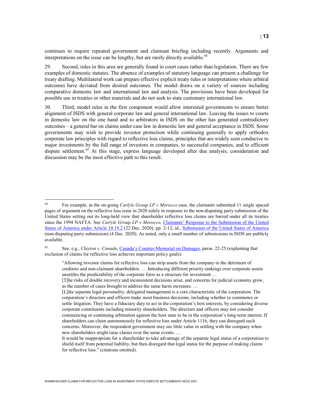continues to require repeated government and claimant briefing including recently. Arguments and interpretations on the issue can be lengthy, but are rarely directly available.<sup>44</sup>

29. Second, rules in this area are generally found in court cases rather than legislation. There are few examples of domestic statutes. The absence of examples of statutory language can present a challenge for treaty drafting. Multilateral work can prepare effective explicit treaty rules or interpretations where arbitral outcomes have deviated from desired outcomes. The model draws on a variety of sources including comparative domestic law and international law and analysis. The provisions have been developed for possible use in treaties or other materials and do not seek to state customary international law.

30. Third, model rules in the first component would allow interested governments to ensure better alignment of ISDS with general corporate law and general international law. Leaving the issues to courts in domestic law on the one hand and to arbitrators in ISDS on the other has generated contradictory outcomes – a general bar on claims under case law in domestic law and general acceptance in ISDS. Some governments may wish to provide investor protection while continuing generally to apply orthodox corporate law principles with regard to reflective loss claims, principles that are widely seen conducive to major investments by the full range of investors in companies, to successful companies, and to efficient dispute settlement.<sup>45</sup> At this stage, express language developed after due analysis, consideration and discussion may be the most effective path to this result.

<sup>45</sup> See, e.g., Clayton v. Canada, Canada's Counter-Memorial on Damages, paras. 22-25 (explaining that exclusion of claims for reflective loss achieves important policy goals):

"Allowing investor claims for reflective loss can strip assets from the company to the detriment of creditors and non-claimant shareholders. … Introducing different priority rankings over corporate assets unsettles the predictability of the corporate form as a structure for investment …

 $44$ <sup>44</sup> For example, in the on-going Carlyle Group LP v Morocco case, the claimants submitted 11 single spaced pages of argument on the reflective loss issue in 2020 solely in response to the non-disputing party submission of the United States setting out its long-held view that shareholder reflective loss claims are barred under all its treaties since the 1994 NAFTA. See Carlyle Group LP v Morocco, Claimants' Response to the Submission of the United States of America under Article 10.19.2 (22 Dec. 2020), pp. 2-12; id., Submission of the United States of America (non-disputing party submission) (4 Dec. 2020). As noted, only a small number of submissions in ISDS are publicly available.

<sup>[</sup>T]he risks of double recovery and inconsistent decisions arise, and concerns for judicial economy grow, as the number of cases brought to address the same harm increases. …

<sup>[</sup>L]ike separate legal personality, delegated management is a core characteristic of the corporation. The corporation's directors and officers make most business decisions, including whether to commence or settle litigation. They have a fiduciary duty to act in the corporation's best interests, by considering diverse corporate constituents including minority shareholders. The directors and officers may not consider commencing or continuing arbitration against the host state to be in the corporation's long-term interest. If shareholders can claim autonomously for reflective loss under Article 1116, they can disregard such concerns. Moreover, the respondent government may see little value in settling with the company when new shareholders might raise claims over the same events. …

It would be inappropriate for a shareholder to take advantage of the separate legal status of a corporation to shield itself from potential liability, but then disregard that legal status for the purpose of making claims for reflective loss." (citations omitted).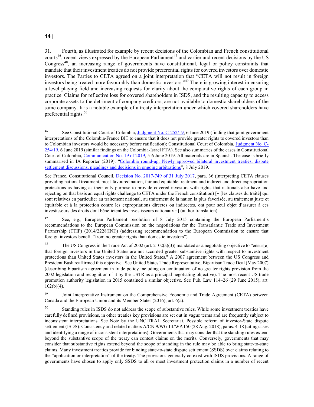#### $14$

l

<sup>31.</sup> Fourth, as illustrated for example by recent decisions of the Colombian and French constitutional courts<sup>46</sup>, recent views expressed by the European Parliament<sup>47</sup> and earlier and recent decisions by the US Congress<sup>48</sup>, an increasing range of governments have constitutional, legal or policy constraints that mandate that their investment treaties do not provide preferential rights for covered investors over domestic investors. The Parties to CETA agreed on a joint interpretation that "CETA will not result in foreign investors being treated more favourably than domestic investors."<sup>49</sup> There is growing interest in ensuring a level playing field and increasing requests for clarity about the comparative rights of each group in practice. Claims for reflective loss for covered shareholders in ISDS, and the resulting capacity to access corporate assets to the detriment of company creditors, are not available to domestic shareholders of the same company. It is a notable example of a treaty interpretation under which covered shareholders have preferential rights.<sup>50</sup>

<sup>&</sup>lt;sup>46</sup> See Constitutional Court of Colombia, Judgment No. C-252/19, 6 June 2019 (finding that joint government interpretations of the Colombia-France BIT to ensure that it does not provide greater rights to covered investors than to Colombian investors would be necessary before ratification); Constitutional Court of Colombia, Judgment No. C-254/19, 6 June 2019 (similar findings on the Colombia-Israel FTA). See also summaries of the cases in Constitutional Court of Colombia, Communication No. 19 of 2019, 5-6 June 2019. All materials are in Spanish. The case is briefly summarised in IA Reporter (2019), "Colombia round-up: Newly approved bilateral investment treaties, dispute settlement discussions, pleadings and decisions in ongoing arbitrations", 8 July 2019.

See France, Constitutional Council, Decision No. 2017-749 of 31 July 2017, para. 36 (interpreting CETA clauses providing national treatment, most-favoured nation, fair and equitable treatment and indirect and direct expropriation protections as having as their only purpose to provide covered investors with rights that nationals also have and rejecting on that basis an equal rights challenge to CETA under the French constitution) [« [les clauses du traité] qui sont relatives en particulier au traitement national, au traitement de la nation la plus favorisée, au traitement juste et équitable et à la protection contre les expropriations directes ou indirectes, ont pour seul objet d'assurer à ces investisseurs des droits dont bénéficient les investisseurs nationaux »] (author translation).

<sup>47</sup> See, e.g., European Parliament resolution of 8 July 2015 containing the European Parliament's recommendations to the European Commission on the negotiations for the Transatlantic Trade and Investment Partnership (TTIP) (2014/2228(INI)) (addressing recommendation to the European Commission to ensure that foreign investors benefit "from no greater rights than domestic investors").

<sup>&</sup>lt;sup>48</sup> The US Congress in the Trade Act of 2002 (art. 2102(a)(3)) mandated as a negotiating objective to "ensur[e] that foreign investors in the United States are not accorded greater substantive rights with respect to investment protections than United States investors in the United States.'' A 2007 agreement between the US Congress and President Bush reaffirmed this objective. See United States Trade Representative, Bipartisan Trade Deal (May 2007) (describing bipartisan agreement in trade policy including on continuation of no greater rights provision from the 2002 legislation and recognition of it by the USTR as a principal negotiating objective). The most recent US trade promotion authority legislation in 2015 contained a similar objective. See Pub. Law 114–26 (29 June 2015), art.  $102(b)(4)$ .

<sup>&</sup>lt;sup>49</sup> Joint Interpretative Instrument on the Comprehensive Economic and Trade Agreement (CETA) between Canada and the European Union and its Member States (2016), art. 6(a).

<sup>50</sup> Standing rules in ISDS do not address the scope of substantive rules. While some investment treaties have carefully defined provisions, in other treaties key provisions are set out in vague terms and are frequently subject to inconsistent interpretations. See Note by the UNCITRAL Secretariat, Possible reform of investor-State dispute settlement (ISDS): Consistency and related matters A/CN.9/WG.III/WP.150 (28 Aug. 2018), paras. 4-18 (citing cases and identifying a range of inconsistent interpretations). Governments that may consider that the standing rules extend beyond the substantive scope of the treaty can contest claims on the merits. Conversely, governments that may consider that substantive rights extend beyond the scope of standing in the rule may be able to bring state-to-state claims. Many investment treaties provide for binding state-to-state dispute settlement (SSDS) over claims relating to the "application or interpretation" of the treaty. The provisions generally co-exist with ISDS provisions. A range of governments have chosen to apply only SSDS to all or most investment protection claims in a number of recent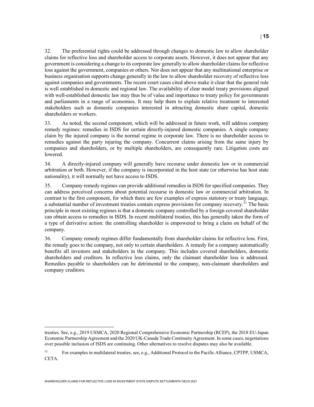32. The preferential rights could be addressed through changes to domestic law to allow shareholder claims for reflective loss and shareholder access to corporate assets. However, it does not appear that any government is considering a change to its corporate law generally to allow shareholder claims for reflective loss against the government, companies or others. Nor does not appear that any multinational enterprise or business organisation supports change generally in the law to allow shareholder recovery of reflective loss against companies and governments. The recent court cases cited above make it clear that the general rule is well established in domestic and regional law. The availability of clear model treaty provisions aligned with well-established domestic law may thus be of value and importance to treaty policy for governments and parliaments in a range of economies. It may help them to explain relative treatment to interested stakeholders such as domestic companies interested in attracting domestic share capital, domestic shareholders or workers.

33. As noted, the second component, which will be addressed in future work, will address company remedy regimes: remedies in ISDS for certain directly-injured domestic companies. A single company claim by the injured company is the normal regime in corporate law. There is no shareholder access to remedies against the party injuring the company. Concurrent claims arising from the same injury by companies and shareholders, or by multiple shareholders, are consequently rare. Litigation costs are lowered.

34. A directly-injured company will generally have recourse under domestic law or in commercial arbitration or both. However, if the company is incorporated in the host state (or otherwise has host state nationality), it will normally not have access to ISDS.

35. Company remedy regimes can provide additional remedies in ISDS for specified companies. They can address perceived concerns about potential recourse in domestic law or commercial arbitration. In contrast to the first component, for which there are few examples of express statutory or treaty language, a substantial number of investment treaties contain express provisions for company recovery.<sup>51</sup> The basic principle in most existing regimes is that a domestic company controlled by a foreign covered shareholder can obtain access to remedies in ISDS. In recent multilateral treaties, this has generally taken the form of a type of derivative action: the controlling shareholder is empowered to bring a claim on behalf of the company.

36. Company remedy regimes differ fundamentally from shareholder claims for reflective loss. First, the remedy goes to the company, not only to certain shareholders. A remedy for a company automatically benefits all investors and stakeholders in the company. This includes covered shareholders, domestic shareholders and creditors. In reflective loss claims, only the claimant shareholder loss is addressed. Remedies payable to shareholders can be detrimental to the company, non-claimant shareholders and company creditors.

treaties. See, e.g., 2019 USMCA, 2020 Regional Comprehensive Economic Partnership (RCEP), the 2018 EU-Japan Economic Partnership Agreement and the 2020 UK-Canada Trade Continuity Agreement. In some cases, negotiations over possible inclusion of ISDS are continuing. Other alternatives to resolve disputes may also be available.

<sup>51</sup> For examples in multilateral treaties, see, e.g., Additional Protocol to the Pacific Alliance, CPTPP, USMCA, CETA.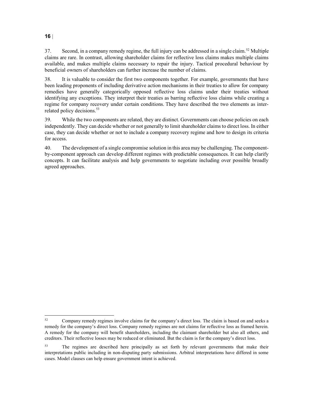37. Second, in a company remedy regime, the full injury can be addressed in a single claim.<sup>52</sup> Multiple claims are rare. In contrast, allowing shareholder claims for reflective loss claims makes multiple claims available, and makes multiple claims necessary to repair the injury. Tactical procedural behaviour by beneficial owners of shareholders can further increase the number of claims.

38. It is valuable to consider the first two components together. For example, governments that have been leading proponents of including derivative action mechanisms in their treaties to allow for company remedies have generally categorically opposed reflective loss claims under their treaties without identifying any exceptions. They interpret their treaties as barring reflective loss claims while creating a regime for company recovery under certain conditions. They have described the two elements as interrelated policy decisions.<sup>53</sup>

39. While the two components are related, they are distinct. Governments can choose policies on each independently. They can decide whether or not generally to limit shareholder claims to direct loss. In either case, they can decide whether or not to include a company recovery regime and how to design its criteria for access.

40. The development of a single compromise solution in this area may be challenging. The componentby-component approach can develop different regimes with predictable consequences. It can help clarify concepts. It can facilitate analysis and help governments to negotiate including over possible broadly agreed approaches.

#### 16

<sup>52</sup> <sup>52</sup> Company remedy regimes involve claims for the company's direct loss. The claim is based on and seeks a remedy for the company's direct loss. Company remedy regimes are not claims for reflective loss as framed herein. A remedy for the company will benefit shareholders, including the claimant shareholder but also all others, and creditors. Their reflective losses may be reduced or eliminated. But the claim is for the company's direct loss.

<sup>&</sup>lt;sup>53</sup> The regimes are described here principally as set forth by relevant governments that make their interpretations public including in non-disputing party submissions. Arbitral interpretations have differed in some cases. Model clauses can help ensure government intent is achieved.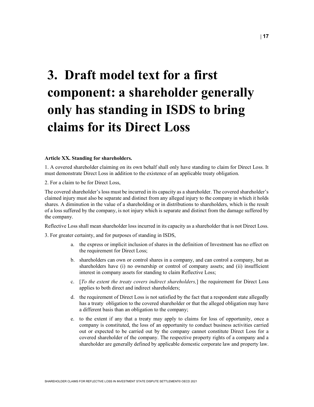# 3. Draft model text for a first component: a shareholder generally only has standing in ISDS to bring claims for its Direct Loss

#### Article XX. Standing for shareholders.

1. A covered shareholder claiming on its own behalf shall only have standing to claim for Direct Loss. It must demonstrate Direct Loss in addition to the existence of an applicable treaty obligation.

2. For a claim to be for Direct Loss,

The covered shareholder's loss must be incurred in its capacity as a shareholder. The covered shareholder's claimed injury must also be separate and distinct from any alleged injury to the company in which it holds shares. A diminution in the value of a shareholding or in distributions to shareholders, which is the result of a loss suffered by the company, is not injury which is separate and distinct from the damage suffered by the company.

Reflective Loss shall mean shareholder loss incurred in its capacity as a shareholder that is not Direct Loss.

3. For greater certainty, and for purposes of standing in ISDS,

- a. the express or implicit inclusion of shares in the definition of Investment has no effect on the requirement for Direct Loss;
- b. shareholders can own or control shares in a company, and can control a company, but as shareholders have (i) no ownership or control of company assets; and (ii) insufficient interest in company assets for standing to claim Reflective Loss;
- c. [To the extent the treaty covers indirect shareholders,] the requirement for Direct Loss applies to both direct and indirect shareholders;
- d. the requirement of Direct Loss is not satisfied by the fact that a respondent state allegedly has a treaty obligation to the covered shareholder or that the alleged obligation may have a different basis than an obligation to the company;
- e. to the extent if any that a treaty may apply to claims for loss of opportunity, once a company is constituted, the loss of an opportunity to conduct business activities carried out or expected to be carried out by the company cannot constitute Direct Loss for a covered shareholder of the company. The respective property rights of a company and a shareholder are generally defined by applicable domestic corporate law and property law.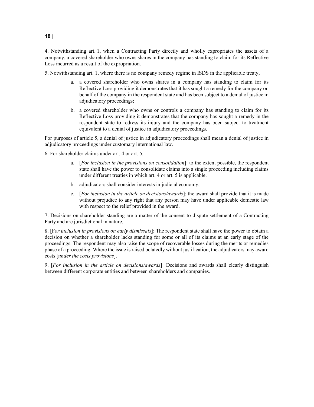4. Notwithstanding art. 1, when a Contracting Party directly and wholly expropriates the assets of a company, a covered shareholder who owns shares in the company has standing to claim for its Reflective Loss incurred as a result of the expropriation.

5. Notwithstanding art. 1, where there is no company remedy regime in ISDS in the applicable treaty,

- a. a covered shareholder who owns shares in a company has standing to claim for its Reflective Loss providing it demonstrates that it has sought a remedy for the company on behalf of the company in the respondent state and has been subject to a denial of justice in adjudicatory proceedings;
- b. a covered shareholder who owns or controls a company has standing to claim for its Reflective Loss providing it demonstrates that the company has sought a remedy in the respondent state to redress its injury and the company has been subject to treatment equivalent to a denial of justice in adjudicatory proceedings.

For purposes of article 5, a denial of justice in adjudicatory proceedings shall mean a denial of justice in adjudicatory proceedings under customary international law.

6. For shareholder claims under art. 4 or art. 5,

- a. [For inclusion in the provisions on consolidation]: to the extent possible, the respondent state shall have the power to consolidate claims into a single proceeding including claims under different treaties in which art. 4 or art. 5 is applicable.
- b. adjudicators shall consider interests in judicial economy;
- c. [For inclusion in the article on decisions/awards]: the award shall provide that it is made without prejudice to any right that any person may have under applicable domestic law with respect to the relief provided in the award.

7. Decisions on shareholder standing are a matter of the consent to dispute settlement of a Contracting Party and are jurisdictional in nature.

8. [For inclusion in provisions on early dismissals]: The respondent state shall have the power to obtain a decision on whether a shareholder lacks standing for some or all of its claims at an early stage of the proceedings. The respondent may also raise the scope of recoverable losses during the merits or remedies phase of a proceeding. Where the issue is raised belatedly without justification, the adjudicators may award costs [under the costs provisions].

9. [For inclusion in the article on decisions/awards]: Decisions and awards shall clearly distinguish between different corporate entities and between shareholders and companies.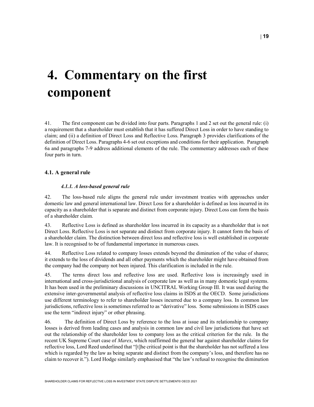| 19

## 4. Commentary on the first component

41. The first component can be divided into four parts. Paragraphs 1 and 2 set out the general rule: (i) a requirement that a shareholder must establish that it has suffered Direct Loss in order to have standing to claim; and (ii) a definition of Direct Loss and Reflective Loss. Paragraph 3 provides clarifications of the definition of Direct Loss. Paragraphs 4-6 set out exceptions and conditions for their application. Paragraph 6a and paragraphs 7-9 address additional elements of the rule. The commentary addresses each of these four parts in turn.

#### 4.1. A general rule

#### 4.1.1. A loss-based general rule

42. The loss-based rule aligns the general rule under investment treaties with approaches under domestic law and general international law. Direct Loss for a shareholder is defined as loss incurred in its capacity as a shareholder that is separate and distinct from corporate injury. Direct Loss can form the basis of a shareholder claim.

43. Reflective Loss is defined as shareholder loss incurred in its capacity as a shareholder that is not Direct Loss. Reflective Loss is not separate and distinct from corporate injury. It cannot form the basis of a shareholder claim. The distinction between direct loss and reflective loss is well established in corporate law. It is recognised to be of fundamental importance in numerous cases.

44. Reflective Loss related to company losses extends beyond the diminution of the value of shares; it extends to the loss of dividends and all other payments which the shareholder might have obtained from the company had the company not been injured. This clarification is included in the rule.

45. The terms direct loss and reflective loss are used. Reflective loss is increasingly used in international and cross-jurisdictional analysis of corporate law as well as in many domestic legal systems. It has been used in the preliminary discussions in UNCITRAL Working Group III. It was used during the extensive inter-governmental analysis of reflective loss claims in ISDS at the OECD. Some jurisdictions use different terminology to refer to shareholder losses incurred due to a company loss. In common law jurisdictions, reflective loss is sometimes referred to as "derivative" loss. Some submissions in ISDS cases use the term "indirect injury" or other phrasing.

46. The definition of Direct Loss by reference to the loss at issue and its relationship to company losses is derived from leading cases and analysis in common law and civil law jurisdictions that have set out the relationship of the shareholder loss to company loss as the critical criterion for the rule. In the recent UK Supreme Court case of *Marex*, which reaffirmed the general bar against shareholder claims for reflective loss, Lord Reed underlined that "[t]he critical point is that the shareholder has not suffered a loss which is regarded by the law as being separate and distinct from the company's loss, and therefore has no claim to recover it."). Lord Hodge similarly emphasised that "the law's refusal to recognise the diminution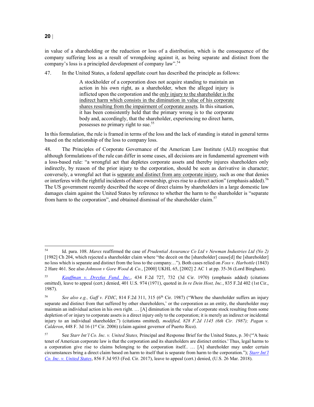in value of a shareholding or the reduction or loss of a distribution, which is the consequence of the company suffering loss as a result of wrongdoing against it, as being separate and distinct from the company's loss is a principled development of company law".<sup>54</sup>

47. In the United States, a federal appellate court has described the principle as follows:

A stockholder of a corporation does not acquire standing to maintain an action in his own right, as a shareholder, when the alleged injury is inflicted upon the corporation and the only injury to the shareholder is the indirect harm which consists in the diminution in value of his corporate shares resulting from the impairment of corporate assets. In this situation, it has been consistently held that the primary wrong is to the corporate body and, accordingly, that the shareholder, experiencing no direct harm, possesses no primary right to sue.<sup>55</sup>

In this formulation, the rule is framed in terms of the loss and the lack of standing is stated in general terms based on the relationship of the loss to company loss.

48. The Principles of Corporate Governance of the American Law Institute (ALI) recognise that although formulations of the rule can differ in some cases, all decisions are in fundamental agreement with a loss-based rule: "a wrongful act that depletes corporate assets and thereby injures shareholders only indirectly, by reason of the prior injury to the corporation, should be seen as derivative in character; conversely, a wrongful act that is separate and distinct from any corporate injury, such as one that denies or interferes with the rightful incidents of share ownership, gives rise to a direct action" (emphasis added).<sup>56</sup> The US government recently described the scope of direct claims by shareholders in a large domestic law damages claim against the United States by reference to whether the harm to the shareholder is "separate from harm to the corporation", and obtained dismissal of the shareholder claim.<sup>57</sup>

 $20|$ 

<sup>54</sup> Id. para. 108. Marex reaffirmed the case of Prudential Assurance Co Ltd v Newman Industries Ltd (No 2) [1982] Ch 204, which rejected a shareholder claim where "the deceit on the [shareholder] cause[d] the [shareholder] no loss which is separate and distinct from the loss to the company..."). Both cases relied on Foss v. Harbottle (1843) 2 Hare 461. See also Johnson v Gore Wood & Co., [2000] UKHL 65, [2002] 2 AC 1 at pp. 35-36 (Lord Bingham).

<sup>55</sup> Kauffman v. Dreyfus Fund, Inc., 434 F.2d 727, 732 (3d Cir. 1970) (emphasis added) (citations omitted), leave to appeal (cert.) denied, 401 U.S. 974 (1971), quoted in *In re Dein Host, Inc.*, 835 F.2d 402 (1st Cir., 1987).

<sup>56</sup> See also e.g., Gaff v. FDIC, 814 F.2d 311, 315 ( $6<sup>th</sup>$  Cir. 1987) ("Where the shareholder suffers an injury separate and distinct from that suffered by other shareholders,' or the corporation as an entity, the shareholder may maintain an individual action in his own right. … [A] diminution in the value of corporate stock resulting from some depletion of or injury to corporate assets is a direct injury only to the corporation; it is merely an indirect or incidental injury to an individual shareholder.") (citations omitted), modified, 828 F.2d 1145 (6th Cir. 1987); Pagan v. Calderon, 448 F. 3d 16 (1<sup>st</sup> Cir. 2006) (claim against governor of Puerto Rico).

<sup>57</sup> See Starr Int'l Co. Inc. v. United States, Principal and Response Brief for the United States, p. 30 ("'A basic tenet of American corporate law is that the corporation and its shareholders are distinct entities.' Thus, legal harms to a corporation give rise to claims belonging to the corporation itself.. … [A] shareholder may under certain circumstances bring a direct claim based on harm to itself that is separate from harm to the corporation."); Starr Int'l Co. Inc. v. United States, 856 F.3d 953 (Fed. Cir. 2017), leave to appeal (cert.) denied, (U.S. 26 Mar. 2018).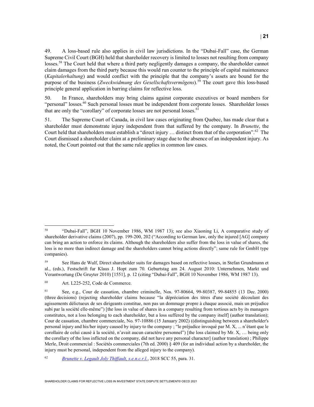49. A loss-based rule also applies in civil law jurisdictions. In the "Dubai-Fall" case, the German Supreme Civil Court (BGH) held that shareholder recovery is limited to losses not resulting from company losses.<sup>58</sup> The Court held that where a third party negligently damages a company, the shareholder cannot claim damages from the third party because this would run counter to the principle of capital maintenance (Kapitalerhaltung) and would conflict with the principle that the company's assets are bound for the purpose of the business (Zweckwidmung des Gesellschaftsvermögens).<sup>59</sup> The court gave this loss-based principle general application in barring claims for reflective loss.

50. In France, shareholders may bring claims against corporate executives or board members for "personal" losses.<sup>60</sup> Such personal losses must be independent from corporate losses. Shareholder losses that are only the "corollary" of corporate losses are not personal losses.  $61$ 

51. The Supreme Court of Canada, in civil law cases originating from Quebec, has made clear that a shareholder must demonstrate injury independent from that suffered by the company. In *Brunette*, the Court held that shareholders must establish a "direct injury  $\ldots$  distinct from that of the corporation".<sup>62</sup> The Court dismissed a shareholder claim at a preliminary stage due to the absence of an independent injury. As noted, the Court pointed out that the same rule applies in common law cases.

<sup>58</sup> <sup>58</sup> "Dubai-Fall", BGH 10 November 1986, WM 1987 13); see also Xiaoning Li, A comparative study of shareholder derivative claims (2007), pp. 199-200, 202 ("According to German law, only the injured [AG] company can bring an action to enforce its claims. Although the shareholders also suffer from the loss in value of shares, the loss is no more than indirect damage and the shareholders cannot bring actions directly"; same rule for GmbH type companies).

<sup>59</sup> See Hans de Wulf, Direct shareholder suits for damages based on reflective losses, in Stefan Grundmann et al., (eds.), Festschrift fur Klaus J. Hopt zum 70. Geburtstag am 24. August 2010: Unternehmen, Markt und Verantwortung (De Gruyter 2010) [1551], p. 12 (citing "Dubai-Fall", BGH 10 November 1986, WM 1987 13).

<sup>60</sup> Art. L225-252, Code de Commerce.

<sup>61</sup> See, e.g., Cour de cassation, chambre criminelle, Nos. 97-80664, 99-80387, 99-84855 (13 Dec. 2000) (three decisions) (rejecting shareholder claims because "la dépréciation des titres d'une société découlant des agissements délictueux de ses dirigeants constitue, non pas un dommage propre à chaque associé, mais un préjudice subi par la société elle-même") [the loss in value of shares in a company resulting from tortious acts by its managers constitutes, not a loss belonging to each shareholder, but a loss suffered by the company itself] (author translation); Cour de cassation, chambre commerciale, No. 97-10886 (15 January 2002) ((distinguishing between a shareholder's personal injury and his/her injury caused by injury to the company ; "le préjudice invoqué par M. X, ... n'étant que le corollaire de celui causé à la société, n'avait aucun caractère personnel") [the loss claimed by Mr. X, … being only the corollary of the loss inflicted on the company, did not have any personal character] (author translation) ; Philippe Merle, Droit commercial : Sociétés commerciales (7th ed. 2000) § 409 (for an individual action by a shareholder, the injury must be personal, independent from the alleged injury to the company).

<sup>62</sup> Brunette v. Legault Joly Thiffault, s.e.n.c.r.l., 2018 SCC 55, para. 31.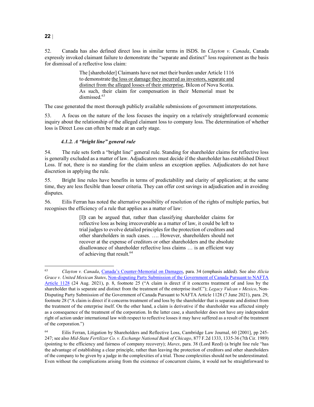52. Canada has also defined direct loss in similar terms in ISDS. In Clayton v. Canada, Canada expressly invoked claimant failure to demonstrate the "separate and distinct" loss requirement as the basis for dismissal of a reflective loss claim:

> The [shareholder] Claimants have not met their burden under Article 1116 to demonstrate the loss or damage they incurred as investors, separate and distinct from the alleged losses of their enterprise, Bilcon of Nova Scotia. As such, their claim for compensation in their Memorial must be dismissed.<sup>63</sup>

The case generated the most thorough publicly available submissions of government interpretations.

53. A focus on the nature of the loss focuses the inquiry on a relatively straightforward economic inquiry about the relationship of the alleged claimant loss to company loss. The determination of whether loss is Direct Loss can often be made at an early stage.

#### 4.1.2. A "bright line" general rule

54. The rule sets forth a "bright line" general rule. Standing for shareholder claims for reflective loss is generally excluded as a matter of law. Adjudicators must decide if the shareholder has established Direct Loss. If not, there is no standing for the claim unless an exception applies. Adjudicators do not have discretion in applying the rule.

55. Bright line rules have benefits in terms of predictability and clarity of application; at the same time, they are less flexible than looser criteria. They can offer cost savings in adjudication and in avoiding disputes.

56. Eilis Ferran has noted the alternative possibility of resolution of the rights of multiple parties, but recognises the efficiency of a rule that applies as a matter of law:

> [I]t can be argued that, rather than classifying shareholder claims for reflective loss as being irrecoverable as a matter of law, it could be left to trial judges to evolve detailed principles for the protection of creditors and other shareholders in such cases. …. However, shareholders should not recover at the expense of creditors or other shareholders and the absolute disallowance of shareholder reflective loss claims … is an efficient way of achieving that result.<sup>64</sup>

#### $22|$

l

<sup>63</sup> Clayton v. Canada, Canada's Counter-Memorial on Damages, para. 34 (emphasis added). See also Alicia Grace v. United Mexican States, Non-disputing Party Submission of the Government of Canada Pursuant to NAFTA Article 1128 (24 Aug. 2021), p. 8, footnote 25 ("A claim is direct if it concerns treatment of and loss by the shareholder that is separate and distinct from the treatment of the enterprise itself."); Legacy Vulcan v Mexico, Non-Disputing Party Submission of the Government of Canada Pursuant to NAFTA Article 1128 (7 June 2021), para. 29, footnote 28 ("A claim is direct if it concerns treatment of and loss by the shareholder that is separate and distinct from the treatment of the enterprise itself. On the other hand, a claim is derivative if the shareholder was affected simply as a consequence of the treatment of the corporation. In the latter case, a shareholder does not have any independent right of action under international law with respect to reflective losses it may have suffered as a result of the treatment of the corporation.")

<sup>64</sup> Eilis Ferran, Litigation by Shareholders and Reflective Loss, Cambridge Law Journal, 60 [2001], pp 245- 247; see also Mid-State Fertilizer Co. v. Exchange National Bank of Chicago, 877 F.2d 1333, 1335-36 (7th Cir. 1989) (pointing to the efficiency and fairness of company recovery); Marex, para. 38 (Lord Reed) (a bright line rule "has the advantage of establishing a clear principle, rather than leaving the protection of creditors and other shareholders of the company to be given by a judge in the complexities of a trial. Those complexities should not be underestimated. Even without the complications arising from the existence of concurrent claims, it would not be straightforward to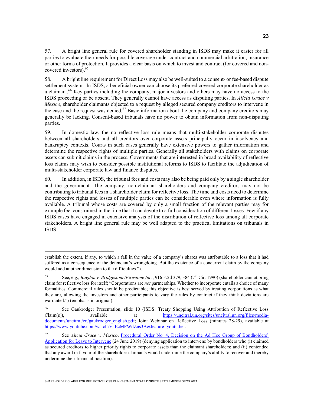57. A bright line general rule for covered shareholder standing in ISDS may make it easier for all parties to evaluate their needs for possible coverage under contract and commercial arbitration, insurance or other forms of protection. It provides a clear basis on which to invest and contract (for covered and noncovered investors).<sup>65</sup>

58. A bright line requirement for Direct Loss may also be well-suited to a consent- or fee-based dispute settlement system. In ISDS, a beneficial owner can choose its preferred covered corporate shareholder as a claimant.<sup>66</sup> Key parties including the company, major investors and others may have no access to the ISDS proceeding or be absent. They generally cannot have access as disputing parties. In Alicia Grace v Mexico, shareholder claimants objected to a request by alleged secured company creditors to intervene in the case and the request was denied.<sup>67</sup> Basic information about the company and company creditors may generally be lacking. Consent-based tribunals have no power to obtain information from non-disputing parties.

59. In domestic law, the no reflective loss rule means that multi-stakeholder corporate disputes between all shareholders and all creditors over corporate assets principally occur in insolvency and bankruptcy contexts. Courts in such cases generally have extensive powers to gather information and determine the respective rights of multiple parties. Generally all stakeholders with claims on corporate assets can submit claims in the process. Governments that are interested in broad availability of reflective loss claims may wish to consider possible institutional reforms to ISDS to facilitate the adjudication of multi-stakeholder corporate law and finance disputes.

60. In addition, in ISDS, the tribunal fees and costs may also be being paid only by a single shareholder and the government. The company, non-claimant shareholders and company creditors may not be contributing to tribunal fees in a shareholder claim for reflective loss. The time and costs need to determine the respective rights and losses of multiple parties can be considerable even where information is fully available. A tribunal whose costs are covered by only a small fraction of the relevant parties may for example feel constrained in the time that it can devote to a full consideration of different losses. Few if any ISDS cases have engaged in extensive analysis of the distribution of reflective loss among all corporate stakeholders. A bright line general rule may be well adapted to the practical limitations on tribunals in ISDS.

establish the extent, if any, to which a fall in the value of a company's shares was attributable to a loss that it had suffered as a consequence of the defendant's wrongdoing. But the existence of a concurrent claim by the company would add another dimension to the difficulties.").

<sup>&</sup>lt;sup>65</sup> See, e.g., *Bagdon v. Bridgestone/Firestone Inc.*, 916 F.2d 379, 384 (7<sup>th</sup> Cir. 1990) (shareholder cannot bring claim for reflective loss for itself; "Corporations are not partnerships. Whether to incorporate entails a choice of many formalities. Commercial rules should be predictable; this objective is best served by treating corporations as what they are, allowing the investors and other participants to vary the rules by contract if they think deviations are warranted.") (emphasis in original).

<sup>66</sup> See Gaukrodger Presentation, slide 10 (ISDS: Treaty Shopping Using Attribution of Reflective Loss Claim(s)), available at https://uncitral.un.org/sites/uncitral.un.org/files/mediadocuments/uncitral/en/gaukrodger\_english.pdf; Joint Webinar on Reflective Loss (minutes 28-29), available at https://www.youtube.com/watch?v=EcMPWdZns3A&feature=youtu.be .

<sup>67</sup> See Alicia Grace v. Mexico, Procedural Order No. 4, Decision on the Ad Hoc Group of Bondholders' Application for Leave to Intervene (24 June 2019) (denying application to intervene by bondholders who (i) claimed as secured creditors to higher priority rights to corporate assets than the claimant shareholders; and (ii) contended that any award in favour of the shareholder claimants would undermine the company's ability to recover and thereby undermine their financial position).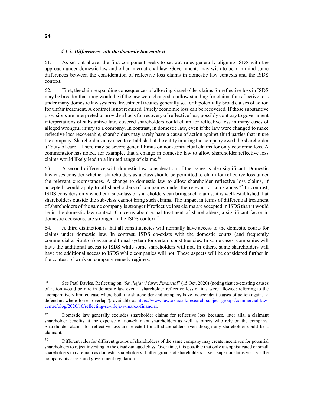#### 4.1.3. Differences with the domestic law context

61. As set out above, the first component seeks to set out rules generally aligning ISDS with the approach under domestic law and other international law. Governments may wish to bear in mind some differences between the consideration of reflective loss claims in domestic law contexts and the ISDS context.

62. First, the claim-expanding consequences of allowing shareholder claims for reflective loss in ISDS may be broader than they would be if the law were changed to allow standing for claims for reflective loss under many domestic law systems. Investment treaties generally set forth potentially broad causes of action for unfair treatment. A contract is not required. Purely economic loss can be recovered. If those substantive provisions are interpreted to provide a basis for recovery of reflective loss, possibly contrary to government interpretations of substantive law, covered shareholders could claim for reflective loss in many cases of alleged wrongful injury to a company. In contrast, in domestic law, even if the law were changed to make reflective loss recoverable, shareholders may rarely have a cause of action against third parties that injure the company. Shareholders may need to establish that the entity injuring the company owed the shareholder a "duty of care". There may be severe general limits on non-contractual claims for only economic loss. A commentator has noted, for example, that a change in domestic law to allow shareholder reflective loss claims would likely lead to a limited range of claims.<sup>68</sup>

63. A second difference with domestic law consideration of the issues is also significant. Domestic law cases consider whether shareholders as a class should be permitted to claim for reflective loss under the relevant circumstances. A change to domestic law to allow shareholder reflective loss claims, if accepted, would apply to all shareholders of companies under the relevant circumstances.<sup>69</sup> In contrast, ISDS considers only whether a sub-class of shareholders can bring such claims; it is well-established that shareholders outside the sub-class cannot bring such claims. The impact in terms of differential treatment of shareholders of the same company is stronger if reflective loss claims are accepted in ISDS than it would be in the domestic law context. Concerns about equal treatment of shareholders, a significant factor in domestic decisions, are stronger in the ISDS context.<sup>70</sup>

64. A third distinction is that all constituencies will normally have access to the domestic courts for claims under domestic law. In contrast, ISDS co-exists with the domestic courts (and frequently commercial arbitration) as an additional system for certain constituencies. In some cases, companies will have the additional access to ISDS while some shareholders will not. In others, some shareholders will have the additional access to ISDS while companies will not. These aspects will be considered further in the context of work on company remedy regimes.

<sup>68</sup> See Paul Davies, Reflecting on "Sevilleja v Marex Financial" (15 Oct. 2020) (noting that co-existing causes of action would be rare in domestic law even if shareholder reflective loss claims were allowed: referring to the "comparatively limited case where both the shareholder and company have independent causes of action against a defendant where losses overlap"), available at https://www.law.ox.ac.uk/research-subject-groups/commercial-lawcentre/blog/2020/10/reflecting-sevilleja-v-marex-financial.

<sup>&</sup>lt;sup>69</sup> Domestic law generally excludes shareholder claims for reflective loss because, inter alia, a claimant shareholder benefits at the expense of non-claimant shareholders as well as others who rely on the company. Shareholder claims for reflective loss are rejected for all shareholders even though any shareholder could be a claimant.

 $70$  Different rules for different groups of shareholders of the same company may create incentives for potential shareholders to reject investing in the disadvantaged class. Over time, it is possible that only unsophisticated or small shareholders may remain as domestic shareholders if other groups of shareholders have a superior status vis a vis the company, its assets and government regulation.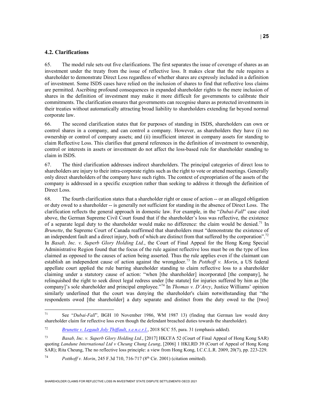#### 4.2. Clarifications

65. The model rule sets out five clarifications. The first separates the issue of coverage of shares as an investment under the treaty from the issue of reflective loss. It makes clear that the rule requires a shareholder to demonstrate Direct Loss regardless of whether shares are expressly included in a definition of investment. Some ISDS cases have relied on the inclusion of shares to find that reflective loss claims are permitted. Ascribing profound consequences in expanded shareholder rights to the mere inclusion of shares in the definition of investment may make it more difficult for governments to calibrate their commitments. The clarification ensures that governments can recognise shares as protected investments in their treaties without automatically attracting broad liability to shareholders extending far beyond normal corporate law.

66. The second clarification states that for purposes of standing in ISDS, shareholders can own or control shares in a company, and can control a company. However, as shareholders they have (i) no ownership or control of company assets; and (ii) insufficient interest in company assets for standing to claim Reflective Loss. This clarifies that general references in the definition of investment to ownership, control or interests in assets or investment do not affect the loss-based rule for shareholder standing to claim in ISDS.

67. The third clarification addresses indirect shareholders. The principal categories of direct loss to shareholders are injury to their intra-corporate rights such as the right to vote or attend meetings. Generally only direct shareholders of the company have such rights. The context of expropriation of the assets of the company is addressed in a specific exception rather than seeking to address it through the definition of Direct Loss.

68. The fourth clarification states that a shareholder right or cause of action -- or an alleged obligation or duty owed to a shareholder -- is generally not sufficient for standing in the absence of Direct Loss. The clarification reflects the general approach in domestic law. For example, in the "Dubai-Fall" case cited above, the German Supreme Civil Court found that if the shareholder's loss was reflective, the existence of a separate legal duty to the shareholder would make no difference: the claim would be denied.<sup>71</sup> In Brunette, the Supreme Court of Canada reaffirmed that shareholders must "demonstrate the existence of an independent fault and a direct injury, both of which are distinct from that suffered by the corporation".<sup>72</sup> In Basab, Inc. v. Superb Glory Holding Ltd., the Court of Final Appeal for the Hong Kong Special Administrative Region found that the focus of the rule against reflective loss must be on the type of loss claimed as opposed to the causes of action being asserted. Thus the rule applies even if the claimant can establish an independent cause of action against the wrongdoer.<sup>73</sup> In Potthoff v. Morin, a US federal appellate court applied the rule barring shareholder standing to claim reflective loss to a shareholder claiming under a statutory cause of action: "when [the shareholder] incorporated [the company], he relinquished the right to seek direct legal redress under [the statute] for injuries suffered by him as [the company]'s sole shareholder and principal employee."<sup>74</sup> In *Thomas v. D'Arcy*, Justice Williams' opinion similarly underlined that the court was denying the shareholder's claim notwithstanding that "the respondents owed [the shareholder] a duty separate and distinct from the duty owed to the [two]

 $71$ See "Dubai-Fall", BGH 10 November 1986, WM 1987 13) (finding that German law would deny shareholder claim for reflective loss even though the defendant breached duties towards the shareholder).

<sup>72</sup> Brunette v. Legault Joly Thiffault, s.e.n.c.r.l., 2018 SCC 55, para. 31 (emphasis added).

<sup>73</sup> Basab, Inc. v. Superb Glory Holding Ltd., [2017] HKCFA 52 (Court of Final Appeal of Hong Kong SAR) quoting Landune International Ltd v Cheung Chung Leung, [2006] 1 HKLRD 39 (Court of Appeal of Hong Kong SAR); Rita Cheung, The no reflective loss principle: a view from Hong Kong, I.C.C.L.R. 2009, 20(7), pp. 223-229.

<sup>74</sup> Potthoff v. Morin, 245 F.3d 710, 716-717 (8<sup>th</sup> Cir. 2001) (citation omitted).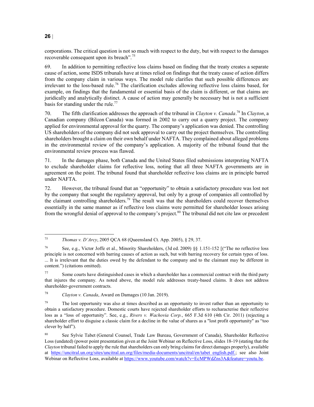corporations. The critical question is not so much with respect to the duty, but with respect to the damages recoverable consequent upon its breach".<sup>75</sup>

69. In addition to permitting reflective loss claims based on finding that the treaty creates a separate cause of action, some ISDS tribunals have at times relied on findings that the treaty cause of action differs from the company claim in various ways. The model rule clarifies that such possible differences are irrelevant to the loss-based rule.<sup>76</sup> The clarification excludes allowing reflective loss claims based, for example, on findings that the fundamental or essential basis of the claim is different, or that claims are juridically and analytically distinct. A cause of action may generally be necessary but is not a sufficient basis for standing under the rule.<sup>77</sup>

70. The fifth clarification addresses the approach of the tribunal in Clayton v. Canada.<sup>78</sup> In Clayton, a Canadian company (Bilcon Canada) was formed in 2002 to carry out a quarry project. The company applied for environmental approval for the quarry. The company's application was denied. The controlling US shareholders of the company did not seek approval to carry out the project themselves. The controlling shareholders brought a claim on their own behalf under NAFTA. They complained about alleged problems in the environmental review of the company's application. A majority of the tribunal found that the environmental review process was flawed.

71. In the damages phase, both Canada and the United States filed submissions interpreting NAFTA to exclude shareholder claims for reflective loss, noting that all three NAFTA governments are in agreement on the point. The tribunal found that shareholder reflective loss claims are in principle barred under NAFTA.

72. However, the tribunal found that an "opportunity" to obtain a satisfactory procedure was lost not by the company that sought the regulatory approval, but only by a group of companies all controlled by the claimant controlling shareholders.<sup>79</sup> The result was that the shareholders could recover themselves essentially in the same manner as if reflective loss claims were permitted for shareholder losses arising from the wrongful denial of approval to the company's project.<sup>80</sup> The tribunal did not cite law or precedent

<sup>77</sup> Some courts have distinguished cases in which a shareholder has a commercial contract with the third party that injures the company. As noted above, the model rule addresses treaty-based claims. It does not address shareholder-government contracts.

78 Clayton v. Canada, Award on Damages (10 Jan. 2019).

<sup>75</sup> Thomas v. D'Arcy, 2005 QCA 68 (Queensland Ct. App. 2005), § 29, 37.

<sup>76</sup> See, e.g., Victor Joffe et al., Minority Shareholders, (3d ed. 2009) §§ 1.151-152 [("The no reflective loss principle is not concerned with barring causes of action as such, but with barring recovery for certain types of loss. ... It is irrelevant that the duties owed by the defendant to the company and to the claimant may be different in content.") (citations omitted).

<sup>&</sup>lt;sup>79</sup> The lost opportunity was also at times described as an opportunity to invest rather than an opportunity to obtain a satisfactory procedure. Domestic courts have rejected shareholder efforts to recharacterise their reflective loss as a "loss of opportunity". See, e.g., Rivers v. Wachovia Corp., 665 F.3d 610 (4th Cir. 2011) (rejecting a shareholder effort to disguise a classic claim for a decline in the value of shares as a "lost profit opportunity" as "too clever by half").

<sup>80</sup> See Sylvie Tabet (General Counsel, Trade Law Bureau, Government of Canada), Shareholder Reflective Loss (undated) (power point presentation given at the Joint Webinar on Reflective Loss, slides 18-19 (stating that the Clayton tribunal failed to apply the rule that shareholders can only bring claims for direct damages properly), available at https://uncitral.un.org/sites/uncitral.un.org/files/media-documents/uncitral/en/tabet\_english.pdf.; see also Joint Webinar on Reflective Loss, available at https://www.youtube.com/watch?v=EcMPWdZns3A&feature=youtu.be.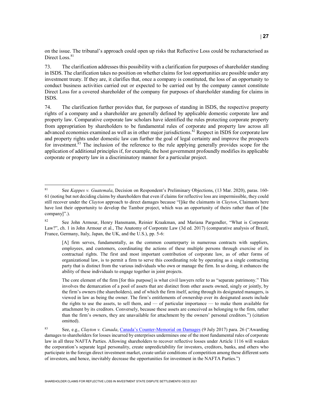on the issue. The tribunal's approach could open up risks that Reflective Loss could be recharacterised as Direct Loss.<sup>81</sup>

73. The clarification addresses this possibility with a clarification for purposes of shareholder standing in ISDS. The clarification takes no position on whether claims for lost opportunities are possible under any investment treaty. If they are, it clarifies that, once a company is constituted, the loss of an opportunity to conduct business activities carried out or expected to be carried out by the company cannot constitute Direct Loss for a covered shareholder of the company for purposes of shareholder standing for claims in ISDS.

74. The clarification further provides that, for purposes of standing in ISDS, the respective property rights of a company and a shareholder are generally defined by applicable domestic corporate law and property law. Comparative corporate law scholars have identified the rules protecting corporate property from appropriation by shareholders to be fundamental rules of corporate and property law across all advanced economies examined as well as in other major jurisdictions.<sup>82</sup> Respect in ISDS for corporate law and property rights under domestic law can further the goal of legal certainty and improve the prospects for investment.<sup>83</sup> The inclusion of the reference to the rule applying generally provides scope for the application of additional principles if, for example, the host government profoundly modifies its applicable corporate or property law in a discriminatory manner for a particular project.

 $8\sqrt{1}$ See Kappes v. Guatemala, Decision on Respondent's Preliminary Objections, (13 Mar. 2020), paras. 160-61 (noting but not deciding claims by shareholders that even if claims for reflective loss are impermissible, they could still recover under the *Clayton* approach to direct damages because "l]ike the claimants in *Clayton*, Claimants here have lost their opportunity to develop the Tambor project, which was an opportunity of theirs rather than of [the company]".).

<sup>&</sup>lt;sup>82</sup> See John Armour, Henry Hansmann, Reinier Kraakman, and Mariana Pargendler, "What is Corporate Law?", ch. 1 in John Armour et al., The Anatomy of Corporate Law (3d ed. 2017) (comparative analysis of Brazil, France, Germany, Italy, Japan, the UK, and the U.S.), pp. 5-6:

<sup>[</sup>A] firm serves, fundamentally, as the common counterparty in numerous contracts with suppliers, employees, and customers, coordinating the actions of these multiple persons through exercise of its contractual rights. The first and most important contribution of corporate law, as of other forms of organizational law, is to permit a firm to serve this coordinating role by operating as a single contracting party that is distinct from the various individuals who own or manage the firm. In so doing, it enhances the ability of these individuals to engage together in joint projects.

The core element of the firm [for this purpose] is what civil lawyers refer to as "separate patrimony." This involves the demarcation of a pool of assets that are distinct from other assets owned, singly or jointly, by the firm's owners (the shareholders), and of which the firm itself, acting through its designated managers, is viewed in law as being the owner. The firm's entitlements of ownership over its designated assets include the rights to use the assets, to sell them, and — of particular importance — to make them available for attachment by its creditors. Conversely, because these assets are conceived as belonging to the firm, rather than the firm's owners, they are unavailable for attachment by the owners' personal creditors.") (citation omitted).

<sup>83</sup> See, e.g., Clayton v. Canada, Canada's Counter-Memorial on Damages (9 July 2017) para. 26 ("Awarding damages to shareholders for losses incurred by enterprises undermines one of the most fundamental rules of corporate law in all three NAFTA Parties. Allowing shareholders to recover reflective losses under Article 1116 will weaken the corporation's separate legal personality, create unpredictability for investors, creditors, banks, and others who participate in the foreign direct investment market, create unfair conditions of competition among these different sorts of investors, and hence, inevitably decrease the opportunities for investment in the NAFTA Parties.")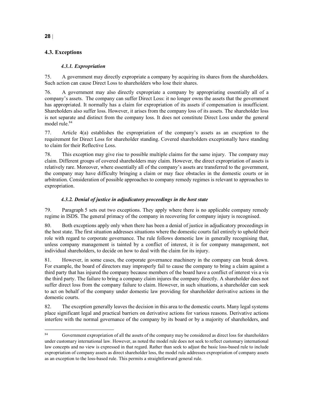#### 4.3. Exceptions

#### 4.3.1. Expropriation

75. A government may directly expropriate a company by acquiring its shares from the shareholders. Such action can cause Direct Loss to shareholders who lose their shares.

76. A government may also directly expropriate a company by appropriating essentially all of a company's assets. The company can suffer Direct Loss: it no longer owns the assets that the government has appropriated. It normally has a claim for expropriation of its assets if compensation is insufficient. Shareholders also suffer loss. However, it arises from the company loss of its assets. The shareholder loss is not separate and distinct from the company loss. It does not constitute Direct Loss under the general model rule.<sup>84</sup>

77. Article 4(a) establishes the expropriation of the company's assets as an exception to the requirement for Direct Loss for shareholder standing. Covered shareholders exceptionally have standing to claim for their Reflective Loss.

78. This exception may give rise to possible multiple claims for the same injury. The company may claim. Different groups of covered shareholders may claim. However, the direct expropriation of assets is relatively rare. Moreover, where essentially all of the company's assets are transferred to the government, the company may have difficulty bringing a claim or may face obstacles in the domestic courts or in arbitration. Consideration of possible approaches to company remedy regimes is relevant to approaches to expropriation.

#### 4.3.2. Denial of justice in adjudicatory proceedings in the host state

79. Paragraph 5 sets out two exceptions. They apply where there is no applicable company remedy regime in ISDS. The general primacy of the company in recovering for company injury is recognised.

80. Both exceptions apply only when there has been a denial of justice in adjudicatory proceedings in the host state. The first situation addresses situations where the domestic courts fail entirely to uphold their role with regard to corporate governance. The rule follows domestic law in generally recognising that, unless company management is tainted by a conflict of interest, it is for company management, not individual shareholders, to decide on how to deal with the claim for its injury.

81. However, in some cases, the corporate governance machinery in the company can break down. For example, the board of directors may improperly fail to cause the company to bring a claim against a third party that has injured the company because members of the board have a conflict of interest vis a vis the third party. The failure to bring a company claim injures the company directly. A shareholder does not suffer direct loss from the company failure to claim. However, in such situations, a shareholder can seek to act on behalf of the company under domestic law providing for shareholder derivative actions in the domestic courts.

82. The exception generally leaves the decision in this area to the domestic courts. Many legal systems place significant legal and practical barriers on derivative actions for various reasons. Derivative actions interfere with the normal governance of the company by its board or by a majority of shareholders, and

 $\bf 84$ Government expropriation of all the assets of the company may be considered as direct loss for shareholders under customary international law. However, as noted the model rule does not seek to reflect customary international law concepts and no view is expressed in that regard. Rather than seek to adjust the basic loss-based rule to include expropriation of company assets as direct shareholder loss, the model rule addresses expropriation of company assets as an exception to the loss-based rule. This permits a straightforward general rule.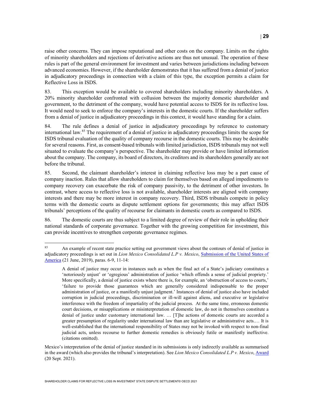raise other concerns. They can impose reputational and other costs on the company. Limits on the rights of minority shareholders and rejections of derivative actions are thus not unusual. The operation of these rules is part of the general environment for investment and varies between jurisdictions including between advanced economies. However, if the shareholder demonstrates that it has suffered from a denial of justice in adjudicatory proceedings in connection with a claim of this type, the exception permits a claim for Reflective Loss in ISDS.

83. This exception would be available to covered shareholders including minority shareholders. A 20% minority shareholder confronted with collusion between the majority domestic shareholder and government, to the detriment of the company, would have potential access to ISDS for its reflective loss. It would need to seek to enforce the company's interests in the domestic courts. If the shareholder suffers from a denial of justice in adjudicatory proceedings in this context, it would have standing for a claim.

84. The rule defines a denial of justice in adjudicatory proceedings by reference to customary international law.<sup>85</sup> The requirement of a denial of justice in adjudicatory proceedings limits the scope for ISDS tribunal evaluation of the quality of company recourse in the domestic courts. This may be desirable for several reasons. First, as consent-based tribunals with limited jurisdiction, ISDS tribunals may not well situated to evaluate the company's perspective. The shareholder may provide or have limited information about the company. The company, its board of directors, its creditors and its shareholders generally are not before the tribunal.

85. Second, the claimant shareholder's interest in claiming reflective loss may be a part cause of company inaction. Rules that allow shareholders to claim for themselves based on alleged impediments to company recovery can exacerbate the risk of company passivity, to the detriment of other investors. In contrast, where access to reflective loss is not available, shareholder interests are aligned with company interests and there may be more interest in company recovery. Third, ISDS tribunals compete in policy terms with the domestic courts as dispute settlement options for governments; this may affect ISDS tribunals' perceptions of the quality of recourse for claimants in domestic courts as compared to ISDS.

86. The domestic courts are thus subject to a limited degree of review of their role in upholding their national standards of corporate governance. Together with the growing competition for investment, this can provide incentives to strengthen corporate governance regimes.

<sup>85</sup> <sup>85</sup> An example of recent state practice setting out government views about the contours of denial of justice in adjudicatory proceedings is set out in Lion Mexico Consolidated L.P v. Mexico, Submission of the United States of America (21 June, 2019), paras. 6-9, 11-14:

A denial of justice may occur in instances such as when the final act of a State's judiciary constitutes a 'notoriously unjust' or 'egregious' administration of justice 'which offends a sense of judicial propriety.' More specifically, a denial of justice exists where there is, for example, an 'obstruction of access to courts,' 'failure to provide those guarantees which are generally considered indispensable to the proper administration of justice, or a manifestly unjust judgment.' Instances of denial of justice also have included corruption in judicial proceedings, discrimination or ill-will against aliens, and executive or legislative interference with the freedom of impartiality of the judicial process. At the same time, erroneous domestic court decisions, or misapplications or misinterpretation of domestic law, do not in themselves constitute a denial of justice under customary international law. … [T]he actions of domestic courts are accorded a greater presumption of regularity under international law than are legislative or administrative acts.… It is well-established that the international responsibility of States may not be invoked with respect to non-final judicial acts, unless recourse to further domestic remedies is obviously futile or manifestly ineffective. (citations omitted).

Mexico's interpretation of the denial of justice standard in its submissions is only indirectly available as summarised in the award (which also provides the tribunal's interpretation). See Lion Mexico Consolidated L.P v. Mexico, Award (20 Sept. 2021).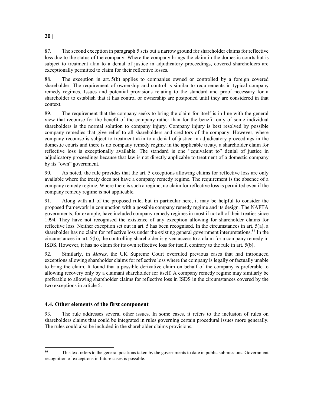87. The second exception in paragraph 5 sets out a narrow ground for shareholder claims for reflective loss due to the status of the company. Where the company brings the claim in the domestic courts but is subject to treatment akin to a denial of justice in adjudicatory proceedings, covered shareholders are exceptionally permitted to claim for their reflective losses.

88. The exception in art. 5(b) applies to companies owned or controlled by a foreign covered shareholder. The requirement of ownership and control is similar to requirements in typical company remedy regimes. Issues and potential provisions relating to the standard and proof necessary for a shareholder to establish that it has control or ownership are postponed until they are considered in that context.

89. The requirement that the company seeks to bring the claim for itself is in line with the general view that recourse for the benefit of the company rather than for the benefit only of some individual shareholders is the normal solution to company injury. Company injury is best resolved by possible company remedies that give relief to all shareholders and creditors of the company. However, where company recourse is subject to treatment akin to a denial of justice in adjudicatory proceedings in the domestic courts and there is no company remedy regime in the applicable treaty, a shareholder claim for reflective loss is exceptionally available. The standard is one "equivalent to" denial of justice in adjudicatory proceedings because that law is not directly applicable to treatment of a domestic company by its "own" government.

90. As noted, the rule provides that the art. 5 exceptions allowing claims for reflective loss are only available where the treaty does not have a company remedy regime. The requirement is the absence of a company remedy regime. Where there is such a regime, no claim for reflective loss is permitted even if the company remedy regime is not applicable.

91. Along with all of the proposed rule, but in particular here, it may be helpful to consider the proposed framework in conjunction with a possible company remedy regime and its design. The NAFTA governments, for example, have included company remedy regimes in most if not all of their treaties since 1994. They have not recognised the existence of any exception allowing for shareholder claims for reflective loss. Neither exception set out in art. 5 has been recognised. In the circumstances in art. 5(a), a shareholder has no claim for reflective loss under the existing general government interpretations.<sup>86</sup> In the circumstances in art. 5(b), the controlling shareholder is given access to a claim for a company remedy in ISDS. However, it has no claim for its own reflective loss for itself, contrary to the rule in art. 5(b).

92. Similarly, in Marex, the UK Supreme Court overruled previous cases that had introduced exceptions allowing shareholder claims for reflective loss where the company is legally or factually unable to bring the claim. It found that a possible derivative claim on behalf of the company is preferable to allowing recovery only by a claimant shareholder for itself. A company remedy regime may similarly be preferable to allowing shareholder claims for reflective loss in ISDS in the circumstances covered by the two exceptions in article 5.

#### 4.4. Other elements of the first component

l

93. The rule addresses several other issues. In some cases, it refers to the inclusion of rules on shareholders claims that could be integrated in rules governing certain procedural issues more generally. The rules could also be included in the shareholder claims provisions.

<sup>&</sup>lt;sup>86</sup> This text refers to the general positions taken by the governments to date in public submissions. Government recognition of exceptions in future cases is possible.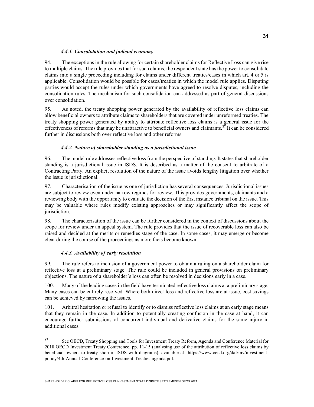#### 4.4.1. Consolidation and judicial economy

94. The exceptions in the rule allowing for certain shareholder claims for Reflective Loss can give rise to multiple claims. The rule provides that for such claims, the respondent state has the power to consolidate claims into a single proceeding including for claims under different treaties/cases in which art. 4 or 5 is applicable. Consolidation would be possible for cases/treaties in which the model rule applies. Disputing parties would accept the rules under which governments have agreed to resolve disputes, including the consolidation rules. The mechanism for such consolidation can addressed as part of general discussions over consolidation.

95. As noted, the treaty shopping power generated by the availability of reflective loss claims can allow beneficial owners to attribute claims to shareholders that are covered under unreformed treaties. The treaty shopping power generated by ability to attribute reflective loss claims is a general issue for the effectiveness of reforms that may be unattractive to beneficial owners and claimants.<sup>87</sup> It can be considered further in discussions both over reflective loss and other reforms.

#### 4.4.2. Nature of shareholder standing as a jurisdictional issue

96. The model rule addresses reflective loss from the perspective of standing. It states that shareholder standing is a jurisdictional issue in ISDS. It is described as a matter of the consent to arbitrate of a Contracting Party. An explicit resolution of the nature of the issue avoids lengthy litigation over whether the issue is jurisdictional.

97. Characterisation of the issue as one of jurisdiction has several consequences. Jurisdictional issues are subject to review even under narrow regimes for review. This provides governments, claimants and a reviewing body with the opportunity to evaluate the decision of the first instance tribunal on the issue. This may be valuable where rules modify existing approaches or may significantly affect the scope of jurisdiction.

98. The characterisation of the issue can be further considered in the context of discussions about the scope for review under an appeal system. The rule provides that the issue of recoverable loss can also be raised and decided at the merits or remedies stage of the case. In some cases, it may emerge or become clear during the course of the proceedings as more facts become known.

#### 4.4.3. Availability of early resolution

99. The rule refers to inclusion of a government power to obtain a ruling on a shareholder claim for reflective loss at a preliminary stage. The rule could be included in general provisions on preliminary objections. The nature of a shareholder's loss can often be resolved in decisions early in a case.

100. Many of the leading cases in the field have terminated reflective loss claims at a preliminary stage. Many cases can be entirely resolved. Where both direct loss and reflective loss are at issue, cost savings can be achieved by narrowing the issues.

101. Arbitral hesitation or refusal to identify or to dismiss reflective loss claims at an early stage means that they remain in the case. In addition to potentially creating confusion in the case at hand, it can encourage further submissions of concurrent individual and derivative claims for the same injury in additional cases.

 $8\,7$ See OECD, Treaty Shopping and Tools for Investment Treaty Reform, Agenda and Conference Material for 2018 OECD Investment Treaty Conference, pp. 11-15 (analysing use of the attribution of reflective loss claims by beneficial owners to treaty shop in ISDS with diagrams), available at https://www.oecd.org/daf/inv/investmentpolicy/4th-Annual-Conference-on-Investment-Treaties-agenda.pdf.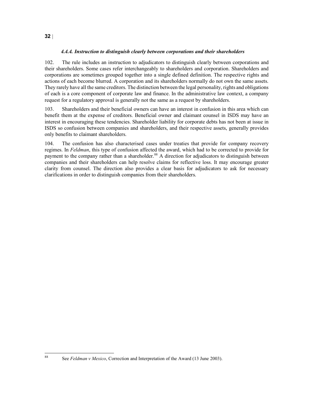#### 4.4.4. Instruction to distinguish clearly between corporations and their shareholders

102. The rule includes an instruction to adjudicators to distinguish clearly between corporations and their shareholders. Some cases refer interchangeably to shareholders and corporation. Shareholders and corporations are sometimes grouped together into a single defined definition. The respective rights and actions of each become blurred. A corporation and its shareholders normally do not own the same assets. They rarely have all the same creditors. The distinction between the legal personality, rights and obligations of each is a core component of corporate law and finance. In the administrative law context, a company request for a regulatory approval is generally not the same as a request by shareholders.

103. Shareholders and their beneficial owners can have an interest in confusion in this area which can benefit them at the expense of creditors. Beneficial owner and claimant counsel in ISDS may have an interest in encouraging these tendencies. Shareholder liability for corporate debts has not been at issue in ISDS so confusion between companies and shareholders, and their respective assets, generally provides only benefits to claimant shareholders.

104. The confusion has also characterised cases under treaties that provide for company recovery regimes. In Feldman, this type of confusion affected the award, which had to be corrected to provide for payment to the company rather than a shareholder.<sup>88</sup> A direction for adjudicators to distinguish between companies and their shareholders can help resolve claims for reflective loss. It may encourage greater clarity from counsel. The direction also provides a clear basis for adjudicators to ask for necessary clarifications in order to distinguish companies from their shareholders.

 $\bf 88$ 

See Feldman v Mexico, Correction and Interpretation of the Award (13 June 2003).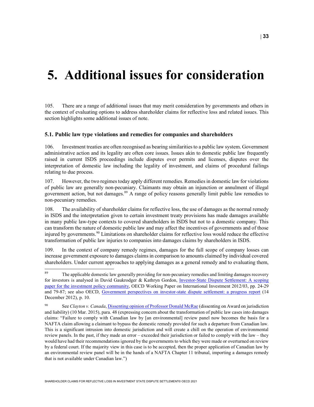## 5. Additional issues for consideration

105. There are a range of additional issues that may merit consideration by governments and others in the context of evaluating options to address shareholder claims for reflective loss and related issues. This section highlights some additional issues of note.

#### 5.1. Public law type violations and remedies for companies and shareholders

106. Investment treaties are often recognised as bearing similarities to a public law system. Government administrative action and its legality are often core issues. Issues akin to domestic public law frequently raised in current ISDS proceedings include disputes over permits and licenses, disputes over the interpretation of domestic law including the legality of investment, and claims of procedural failings relating to due process.

107. However, the two regimes today apply different remedies. Remedies in domestic law for violations of public law are generally non-pecuniary. Claimants may obtain an injunction or annulment of illegal government action, but not damages.<sup>89</sup> A range of policy reasons generally limit public law remedies to non-pecuniary remedies.

108. The availability of shareholder claims for reflective loss, the use of damages as the normal remedy in ISDS and the interpretation given to certain investment treaty provisions has made damages available in many public law-type contexts to covered shareholders in ISDS but not to a domestic company. This can transform the nature of domestic public law and may affect the incentives of governments and of those injured by governments.<sup>90</sup> Limitations on shareholder claims for reflective loss would reduce the effective transformation of public law injuries to companies into damages claims by shareholders in ISDS.

109. In the context of company remedy regimes, damages for the full scope of company losses can increase government exposure to damages claims in comparison to amounts claimed by individual covered shareholders. Under current approaches to applying damages as a general remedy and to evaluating them,

<sup>89</sup> The applicable domestic law generally providing for non-pecuniary remedies and limiting damages recovery for investors is analysed in David Gaukrodger & Kathryn Gordon, Investor-State Dispute Settlement: A scoping paper for the investment policy community, OECD Working Paper on International Investment 2012/03, pp. 24-29 and 79-87; see also OECD, Government perspectives on investor-state dispute settlement: a progress report (14 December 2012), p. 10.

<sup>&</sup>lt;sup>90</sup> See Clayton v. Canada, Dissenting opinion of Professor Donald McRae (dissenting on Award on jurisdiction and liability) (10 Mar. 2015), para. 48 (expressing concern about the transformation of public law cases into damages claims: "Failure to comply with Canadian law by [an environmental] review panel now becomes the basis for a NAFTA claim allowing a claimant to bypass the domestic remedy provided for such a departure from Canadian law. This is a significant intrusion into domestic jurisdiction and will create a chill on the operation of environmental review panels. In the past, if they made an error – exceeded their jurisdiction or failed to comply with the law – they would have had their recommendations ignored by the governments to which they were made or overturned on review by a federal court. If the majority view in this case is to be accepted, then the proper application of Canadian law by an environmental review panel will be in the hands of a NAFTA Chapter 11 tribunal, importing a damages remedy that is not available under Canadian law.")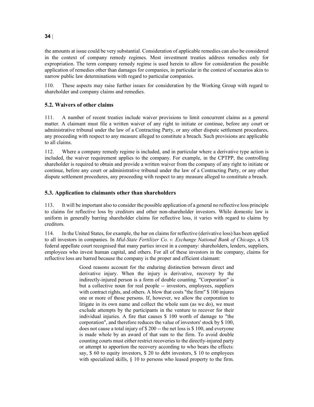the amounts at issue could be very substantial. Consideration of applicable remedies can also be considered in the context of company remedy regimes. Most investment treaties address remedies only for expropriation. The term company remedy regime is used herein to allow for consideration the possible application of remedies other than damages for companies, in particular in the context of scenarios akin to narrow public law determinations with regard to particular companies.

110. These aspects may raise further issues for consideration by the Working Group with regard to shareholder and company claims and remedies.

#### 5.2. Waivers of other claims

111. A number of recent treaties include waiver provisions to limit concurrent claims as a general matter. A claimant must file a written waiver of any right to initiate or continue, before any court or administrative tribunal under the law of a Contracting Party, or any other dispute settlement procedures, any proceeding with respect to any measure alleged to constitute a breach. Such provisions are applicable to all claims.

112. Where a company remedy regime is included, and in particular where a derivative type action is included, the waiver requirement applies to the company. For example, in the CPTPP, the controlling shareholder is required to obtain and provide a written waiver from the company of any right to initiate or continue, before any court or administrative tribunal under the law of a Contracting Party, or any other dispute settlement procedures, any proceeding with respect to any measure alleged to constitute a breach.

#### 5.3. Application to claimants other than shareholders

113. It will be important also to consider the possible application of a general no reflective loss principle to claims for reflective loss by creditors and other non-shareholder investors. While domestic law is uniform in generally barring shareholder claims for reflective loss, it varies with regard to claims by creditors.

114. In the United States, for example, the bar on claims for reflective (derivative loss) has been applied to all investors in companies. In Mid-State Fertilizer Co. v. Exchange National Bank of Chicago, a US federal appellate court recognised that many parties invest in a company: shareholders, lenders, suppliers, employees who invest human capital, and others. For all of these investors in the company, claims for reflective loss are barred because the company is the proper and efficient claimant:

> Good reasons account for the enduring distinction between direct and derivative injury. When the injury is derivative, recovery by the indirectly-injured person is a form of double counting. "Corporation" is but a collective noun for real people -- investors, employees, suppliers with contract rights, and others. A blow that costs "the firm" \$ 100 injures one or more of those persons. If, however, we allow the corporation to litigate in its own name and collect the whole sum (as we do), we must exclude attempts by the participants in the venture to recover for their individual injuries. A fire that causes \$ 100 worth of damage to "the corporation", and therefore reduces the value of investors' stock by \$ 100, does not cause a total injury of \$ 200 -- the net loss is \$ 100, and everyone is made whole by an award of that sum to the firm. To avoid double counting courts must either restrict recoveries to the directly-injured party or attempt to apportion the recovery according to who bears the effects: say, \$ 60 to equity investors, \$ 20 to debt investors, \$ 10 to employees with specialized skills, § 10 to persons who leased property to the firm.